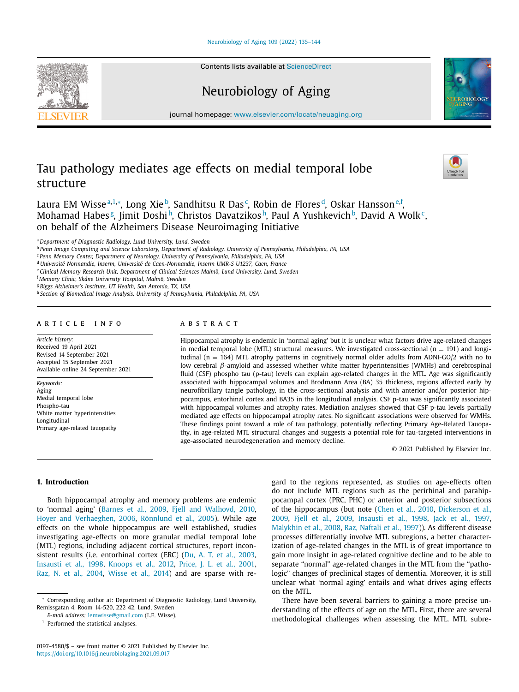# [Neurobiology](https://doi.org/10.1016/j.neurobiolaging.2021.09.017) of Aging 109 (2022) 135–144

Contents lists available at [ScienceDirect](http://www.ScienceDirect.com)

# Neurobiology of Aging

journal homepage: [www.elsevier.com/locate/neuaging.org](http://www.elsevier.com/locate/neuaging.org)

# Tau pathology mediates age effects on medial temporal lobe structure

Laura EM Wisseª,1,\*, Long Xie♭, Sandhitsu R Das¢, Robin de Floresª, Oskar Hansson<sup>e,f</sup>, Mohamad Habes<sup>g</sup>, Jimit Doshi<sup>h</sup>, Christos Davatzikos<sup>h</sup>, Paul A Yushkevich<sup>b</sup>, David A Wolk<sup>c</sup>, on behalf of the Alzheimers Disease Neuroimaging Initiative

<sup>c</sup> *Penn Memory Center, Department of Neurology, University of Pennsylvania, Philadelphia, PA, USA*

<sup>d</sup> *Université Normandie, Inserm, Université de Caen-Normandie, Inserm UMR-S U1237, Caen, France*

<sup>e</sup> *Clinical Memory Research Unit, Department of Clinical Sciences Malmö, Lund University, Lund, Sweden*

<sup>f</sup> *Memory Clinic, Skåne University Hospital, Malmö, Sweden*

<sup>g</sup> *Biggs Alzheimer's Institute, UT Health, San Antonio, TX, USA*

<sup>h</sup> *Section of Biomedical Image Analysis, University of Pennsylvania, Philadelphia, PA, USA*

# a r t i c l e i n f o

*Article history:* Received 19 April 2021 Revised 14 September 2021 Accepted 15 September 2021 Available online 24 September 2021

*Keywords:* Aging Medial temporal lobe Phospho-tau White matter hyperintensities Longitudinal Primary age-related tauopathy

# A B S T R A C T

Hippocampal atrophy is endemic in 'normal aging' but it is unclear what factors drive age-related changes in medial temporal lobe (MTL) structural measures. We investigated cross-sectional ( $n = 191$ ) and longitudinal ( $n = 164$ ) MTL atrophy patterns in cognitively normal older adults from ADNI-GO/2 with no to low cerebral  $β$ -amyloid and assessed whether white matter hyperintensities (WMHs) and cerebrospinal fluid (CSF) phospho tau (p-tau) levels can explain age-related changes in the MTL. Age was significantly associated with hippocampal volumes and Brodmann Area (BA) 35 thickness, regions affected early by neurofibrillary tangle pathology, in the cross-sectional analysis and with anterior and/or posterior hippocampus, entorhinal cortex and BA35 in the longitudinal analysis. CSF p-tau was significantly associated with hippocampal volumes and atrophy rates. Mediation analyses showed that CSF p-tau levels partially mediated age effects on hippocampal atrophy rates. No significant associations were observed for WMHs. These findings point toward a role of tau pathology, potentially reflecting Primary Age-Related Tauopathy, in age-related MTL structural changes and suggests a potential role for tau-targeted interventions in age-associated neurodegeneration and memory decline.

© 2021 Published by Elsevier Inc.

## **1. Introduction**

Both hippocampal atrophy and memory problems are endemic to 'normal aging' [\(Barnes](#page-7-0) et al., 2009, Fjell and [Walhovd,](#page-8-0) 2010, Hoyer and [Verhaeghen,](#page-8-0) 2006, [Rönnlund](#page-8-0) et al., 2005). While age effects on the whole hippocampus are well established, studies investigating age-effects on more granular medial temporal lobe (MTL) regions, including adjacent cortical structures, report inconsistent results (i.e. entorhinal cortex (ERC) (Du, A. T. et al., [2003,](#page-8-0) [Insausti](#page-8-0) et al., 1998, [Knoops](#page-8-0) et al., 2012, [Price,](#page-8-0) J. L. et al., 2001, Raz, N. et al., [2004,](#page-8-0) [Wisse](#page-9-0) et al., 2014) and are sparse with regard to the regions represented, as studies on age-effects often do not include MTL regions such as the perirhinal and parahippocampal cortex (PRC, PHC) or anterior and posterior subsections of the [hippocampus](#page-8-0) (but note [\(Chen](#page-7-0) et al., 2010, Dickerson et al., 2009, Fjell et al., [2009,](#page-8-0) [Insausti](#page-8-0) et al., 1998, Jack et al., [1997,](#page-8-0) [Malykhin](#page-8-0) et al., 2008, Raz, [Naftali](#page-8-0) et al., 1997)). As different disease processes differentially involve MTL subregions, a better characterization of age-related changes in the MTL is of great importance to gain more insight in age-related cognitive decline and to be able to separate "normal" age-related changes in the MTL from the "pathologic" changes of preclinical stages of dementia. Moreover, it is still unclear what 'normal aging' entails and what drives aging effects on the MTL.

There have been several barriers to gaining a more precise understanding of the effects of age on the MTL. First, there are several methodological challenges when assessing the MTL. MTL subre-







<sup>a</sup> *Department of Diagnostic Radiology, Lund University, Lund, Sweden*

<sup>&</sup>lt;sup>b</sup> Penn Image Computing and Science Laboratory, Department of Radiology, University of Pennsylvania, Philadelphia, PA, USA

<sup>∗</sup> Corresponding author at: Department of Diagnostic Radiology, Lund University, Remissgatan 4, Room 14-520, 222 42, Lund, Sweden

*E-mail address:* [lemwisse@gmail.com](mailto:lemwisse@gmail.com) (L.E. Wisse).

<sup>&</sup>lt;sup>1</sup> Performed the statistical analyses.

<sup>0197-4580/\$</sup> – see front matter © 2021 Published by Elsevier Inc. <https://doi.org/10.1016/j.neurobiolaging.2021.09.017>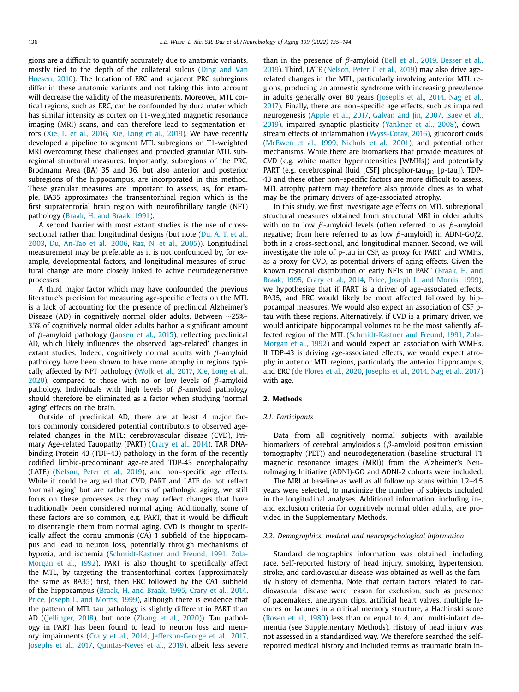gions are a difficult to quantify accurately due to anatomic variants, mostly tied to the depth of the collateral sulcus (Ding and Van Hoesen, 2010). The location of ERC and adjacent PRC [subregions](#page-8-0) differ in these anatomic variants and not taking this into account will decrease the validity of the measurements. Moreover, MTL cortical regions, such as ERC, can be confounded by dura mater which has similar intensity as cortex on T1-weighted magnetic resonance imaging (MRI) scans, and can therefore lead to segmentation errors (Xie, L. et al., [2016,](#page-9-0) Xie, Long et al., [2019\)](#page-9-0). We have recently developed a pipeline to segment MTL subregions on T1-weighted MRI overcoming these challenges and provided granular MTL subregional structural measures. Importantly, subregions of the PRC, Brodmann Area (BA) 35 and 36, but also anterior and posterior subregions of the hippocampus, are incorporated in this method. These granular measures are important to assess, as, for example, BA35 approximates the transentorhinal region which is the first supratentorial brain region with neurofibrillary tangle (NFT) pathology [\(Braak,](#page-7-0) H. and Braak, 1991).

A second barrier with most extant studies is the use of crosssectional rather than longitudinal designs (but note (Du, A. T. et al., 2003, Du, [An-Tao](#page-8-0) et al., 2006, Raz, N. et al., [2005\)](#page-8-0)). [Longitudinal](#page-8-0) measurement may be preferable as it is not confounded by, for example, developmental factors, and longitudinal measures of structural change are more closely linked to active neurodegenerative processes.

A third major factor which may have confounded the previous literature's precision for measuring age-specific effects on the MTL is a lack of accounting for the presence of preclinical Alzheimer's Disease (AD) in cognitively normal older adults. Between ∼25%– 35% of cognitively normal older adults harbor a significant amount of  $β$ -amyloid pathology [\(Jansen](#page-8-0) et al., 2015), reflecting preclinical AD, which likely influences the observed 'age-related' changes in extant studies. Indeed, cognitively normal adults with  $\beta$ -amyloid pathology have been shown to have more atrophy in regions typically affected by NFT [pathology](#page-9-0) [\(Wolk](#page-9-0) et al., 2017, Xie, Long et al., 2020), compared to those with no or low levels of  $\beta$ -amyloid pathology. Individuals with high levels of  $\beta$ -amyloid pathology should therefore be eliminated as a factor when studying 'normal aging' effects on the brain.

Outside of preclinical AD, there are at least 4 major factors commonly considered potential contributors to observed agerelated changes in the MTL: cerebrovascular disease (CVD), Primary Age-related Tauopathy (PART) [\(Crary](#page-8-0) et al., 2014), TAR DNAbinding Protein 43 (TDP-43) pathology in the form of the recently codified limbic-predominant age-related TDP-43 encephalopathy (LATE) [\(Nelson,](#page-8-0) Peter et al., 2019), and non–specific age effects. While it could be argued that CVD, PART and LATE do not reflect 'normal aging' but are rather forms of pathologic aging, we still focus on these processes as they may reflect changes that have traditionally been considered normal aging. Additionally, some of these factors are so common, e.g. PART, that it would be difficult to disentangle them from normal aging. CVD is thought to specifically affect the cornu ammonis (CA) 1 subfield of the hippocampus and lead to neuron loss, potentially through mechanisms of hypoxia, and ischemia [\(Schmidt-Kastner](#page-9-0) and Freund, 1991, Zola-Morgan et al., 1992). PART is also thought to specifically affect the MTL, by targeting the transentorhinal cortex (approximately the same as BA35) first, then ERC followed by the CA1 subfield of the hippocampus [\(Braak,](#page-7-0) H. and Braak, 1995, [Crary](#page-8-0) et al., 2014, Price, Joseph L. and [Morris,](#page-8-0) 1999), although there is evidence that the pattern of MTL tau pathology is slightly different in PART than AD ([\(Jellinger,](#page-8-0) 2018), but note [\(Zhang](#page-9-0) et al., 2020)). Tau pathology in PART has been found to lead to neuron loss and memory impairments [\(Crary](#page-8-0) et al., 2014, [Jefferson-George](#page-8-0) et al., 2017, [Josephs](#page-8-0) et al., 2017, [Quintas-Neves](#page-8-0) et al., 2019), albeit less severe than in the presence of  $\beta$ [-amyloid](#page-7-0) (Bell et al., [2019,](#page-7-0) Besser et al., 2019). Third, LATE [\(Nelson,](#page-8-0) Peter T. et al., 2019) may also drive agerelated changes in the MTL, particularly involving anterior MTL regions, producing an amnestic syndrome with increasing prevalence in adults generally over 80 years [\(Josephs](#page-8-0) et al., 2014, Nag et al., 2017). Finally, there are [non–specific](#page-8-0) age effects, such as impaired [neurogenesis](#page-8-0) [\(Apple](#page-7-0) et al., 2017, [Galvan](#page-8-0) and Jin, 2007, Isaev et al., 2019), impaired synaptic plasticity [\(Yankner](#page-9-0) et al., 2008), downstream effects of inflammation [\(Wyss-Coray,](#page-9-0) 2016), glucocorticoids [\(McEwen](#page-8-0) et al., 1999, [Nichols](#page-8-0) et al., 2001), and potential other mechanisms. While there are biomarkers that provide measures of CVD (e.g. white matter hyperintensities [WMHs]) and potentially PART (e.g. cerebrospinal fluid [CSF] phosphor-tau<sub>181</sub> [p-tau]), TDP-43 and these other non–specific factors are more difficult to assess. MTL atrophy pattern may therefore also provide clues as to what may be the primary drivers of age-associated atrophy.

In this study, we first investigate age effects on MTL subregional structural measures obtained from structural MRI in older adults with no to low  $\beta$ -amyloid levels (often referred to as  $\beta$ -amyloid negative; from here referred to as low  $\beta$ -amyloid) in ADNI-GO/2, both in a cross-sectional, and longitudinal manner. Second, we will investigate the role of p-tau in CSF, as proxy for PART, and WMHs, as a proxy for CVD, as potential drivers of aging effects. Given the known regional [distribution](#page-7-0) of early NFTs in PART (Braak, H. and Braak, 1995, [Crary](#page-8-0) et al., 2014, Price, Joseph L. and [Morris,](#page-8-0) 1999), we hypothesize that if PART is a driver of age-associated effects, BA35, and ERC would likely be most affected followed by hippocampal measures. We would also expect an association of CSF ptau with these regions. Alternatively, if CVD is a primary driver, we would anticipate hippocampal volumes to be the most saliently affected region of the MTL [\(Schmidt-Kastner](#page-9-0) and Freund, 1991, Zola-Morgan et al., 1992) and would expect an association with WMHs. If TDP-43 is driving age-associated effects, we would expect atrophy in anterior MTL regions, particularly the anterior hippocampus, and ERC (de [Flores](#page-8-0) et al., 2020, [Josephs](#page-8-0) et al., 2014, Nag et al., [2017\)](#page-8-0) with age.

# **2. Methods**

# *2.1. Participants*

Data from all cognitively normal subjects with available biomarkers of cerebral amyloidosis ( $\beta$ -amyloid positron emission tomography (PET)) and neurodegeneration (baseline structural T1 magnetic resonance images (MRI)) from the Alzheimer's NeuroImaging Initiative (ADNI)-GO and ADNI-2 cohorts were included.

The MRI at baseline as well as all follow up scans within 1.2–4.5 years were selected, to maximize the number of subjects included in the longitudinal analyses. Additional information, including in-, and exclusion criteria for cognitively normal older adults, are provided in the Supplementary Methods.

#### *2.2. Demographics, medical and neuropsychological information*

Standard demographics information was obtained, including race. Self-reported history of head injury, smoking, hypertension, stroke, and cardiovascular disease was obtained as well as the family history of dementia. Note that certain factors related to cardiovascular disease were reason for exclusion, such as presence of pacemakers, aneurysm clips, artificial heart valves, multiple lacunes or lacunes in a critical memory structure, a Hachinski score [\(Rosen](#page-9-0) et al., 1980) less than or equal to 4, and multi-infarct dementia (see Supplementary Methods). History of head injury was not assessed in a standardized way. We therefore searched the selfreported medical history and included terms as traumatic brain in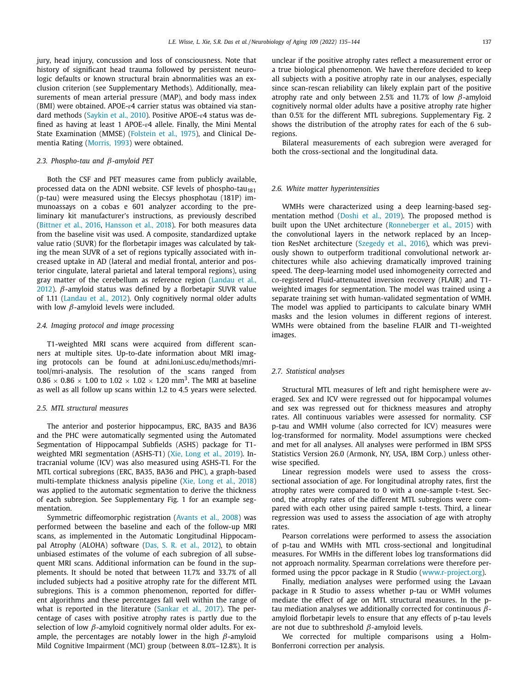jury, head injury, concussion and loss of consciousness. Note that history of significant head trauma followed by persistent neurologic defaults or known structural brain abnormalities was an exclusion criterion (see Supplementary Methods). Additionally, measurements of mean arterial pressure (MAP), and body mass index (BMI) were obtained. APOE-ɛ4 carrier status was obtained via standard methods [\(Saykin](#page-9-0) et al., 2010). Positive APOE-ɛ4 status was defined as having at least 1 APOE- $\varepsilon$ 4 allele. Finally, the Mini Mental State Examination (MMSE) [\(Folstein](#page-8-0) et al., 1975), and Clinical Dementia Rating [\(Morris,](#page-8-0) 1993) were obtained.

# *2.3. Phospho-tau and* β*-amyloid PET*

Both the CSF and PET measures came from publicly available, processed data on the ADNI website. CSF levels of phospho-tau<sub>181</sub> (p-tau) were measured using the Elecsys phosphotau (181P) immunoassays on a cobas e 601 analyzer according to the preliminary kit manufacturer's instructions, as previously described [\(Bittner](#page-7-0) et al., 2016, [Hansson](#page-8-0) et al., 2018). For both measures data from the baseline visit was used. A composite, standardized uptake value ratio (SUVR) for the florbetapir images was calculated by taking the mean SUVR of a set of regions typically associated with increased uptake in AD (lateral and medial frontal, anterior and posterior cingulate, lateral parietal and lateral temporal regions), using gray matter of the [cerebellum](#page-8-0) as reference region (Landau et al., 2012).  $β$ -amyloid status was defined by a florbetapir SUVR value of 1.11 [\(Landau](#page-8-0) et al., 2012). Only cognitively normal older adults with low  $\beta$ -amyloid levels were included.

# *2.4. Imaging protocol and image processing*

T1-weighted MRI scans were acquired from different scanners at multiple sites. Up-to-date information about MRI imaging protocols can be found at adni.loni.usc.edu/methods/mritool/mri-analysis. The resolution of the scans ranged from  $0.86 \times 0.86 \times 1.00$  to  $1.02 \times 1.02 \times 1.20$  mm<sup>3</sup>. The MRI at baseline as well as all follow up scans within 1.2 to 4.5 years were selected.

## *2.5. MTL structural measures*

The anterior and posterior hippocampus, ERC, BA35 and BA36 and the PHC were automatically segmented using the Automated Segmentation of Hippocampal Subfields (ASHS) package for T1 weighted MRI segmentation (ASHS-T1) (Xie, Long et al., [2019\)](#page-9-0). Intracranial volume (ICV) was also measured using ASHS-T1. For the MTL cortical subregions (ERC, BA35, BA36 and PHC), a graph-based multi-template thickness analysis pipeline (Xie, Long et al., [2018\)](#page-9-0) was applied to the automatic segmentation to derive the thickness of each subregion. See Supplementary Fig. 1 for an example segmentation.

Symmetric diffeomorphic registration [\(Avants](#page-7-0) et al., 2008) was performed between the baseline and each of the follow-up MRI scans, as implemented in the Automatic Longitudinal Hippocampal Atrophy (ALOHA) software (Das, S. R. et al., [2012\)](#page-8-0), to obtain unbiased estimates of the volume of each subregion of all subsequent MRI scans. Additional information can be found in the supplements. It should be noted that between 11.7% and 33.7% of all included subjects had a positive atrophy rate for the different MTL subregions. This is a common phenomenon, reported for different algorithms and these percentages fall well within the range of what is reported in the literature [\(Sankar](#page-9-0) et al., 2017). The percentage of cases with positive atrophy rates is partly due to the selection of low  $\beta$ -amyloid cognitively normal older adults. For example, the percentages are notably lower in the high  $\beta$ -amyloid Mild Cognitive Impairment (MCI) group (between 8.0%–12.8%). It is

unclear if the positive atrophy rates reflect a measurement error or a true biological phenomenon. We have therefore decided to keep all subjects with a positive atrophy rate in our analyses, especially since scan-rescan reliability can likely explain part of the positive atrophy rate and only between 2.5% and 11.7% of low  $\beta$ -amyloid cognitively normal older adults have a positive atrophy rate higher than 0.5% for the different MTL subregions. Supplementary Fig. 2 shows the distribution of the atrophy rates for each of the 6 subregions.

Bilateral measurements of each subregion were averaged for both the cross-sectional and the longitudinal data.

## *2.6. White matter hyperintensities*

WMHs were characterized using a deep learning-based segmentation method [\(Doshi](#page-8-0) et al., 2019). The proposed method is built upon the UNet architecture [\(Ronneberger](#page-8-0) et al., 2015) with the convolutional layers in the network replaced by an Inception ResNet architecture [\(Szegedy](#page-9-0) et al., 2016), which was previously shown to outperform traditional convolutional network architectures while also achieving dramatically improved training speed. The deep-learning model used inhomogeneity corrected and co-registered Fluid-attenuated inversion recovery (FLAIR) and T1 weighted images for segmentation. The model was trained using a separate training set with human-validated segmentation of WMH. The model was applied to participants to calculate binary WMH masks and the lesion volumes in different regions of interest. WMHs were obtained from the baseline FLAIR and T1-weighted images.

## *2.7. Statistical analyses*

Structural MTL measures of left and right hemisphere were averaged. Sex and ICV were regressed out for hippocampal volumes and sex was regressed out for thickness measures and atrophy rates. All continuous variables were assessed for normality. CSF p-tau and WMH volume (also corrected for ICV) measures were log-transformed for normality. Model assumptions were checked and met for all analyses. All analyses were performed in IBM SPSS Statistics Version 26.0 (Armonk, NY, USA, IBM Corp.) unless otherwise specified.

Linear regression models were used to assess the crosssectional association of age. For longitudinal atrophy rates, first the atrophy rates were compared to 0 with a one-sample t-test. Second, the atrophy rates of the different MTL subregions were compared with each other using paired sample t-tests. Third, a linear regression was used to assess the association of age with atrophy rates.

Pearson correlations were performed to assess the association of p-tau and WMHs with MTL cross-sectional and longitudinal measures. For WMHs in the different lobes log transformations did not approach normality. Spearman correlations were therefore performed using the ppcor package in R Studio [\(www.r-project.org\)](http://www.r-project.org).

Finally, mediation analyses were performed using the Lavaan package in R Studio to assess whether p-tau or WMH volumes mediate the effect of age on MTL structural measures. In the ptau mediation analyses we additionally corrected for continuous  $\beta$ amyloid florbetapir levels to ensure that any effects of p-tau levels are not due to subthreshold  $\beta$ -amyloid levels.

We corrected for multiple comparisons using a Holm-Bonferroni correction per analysis.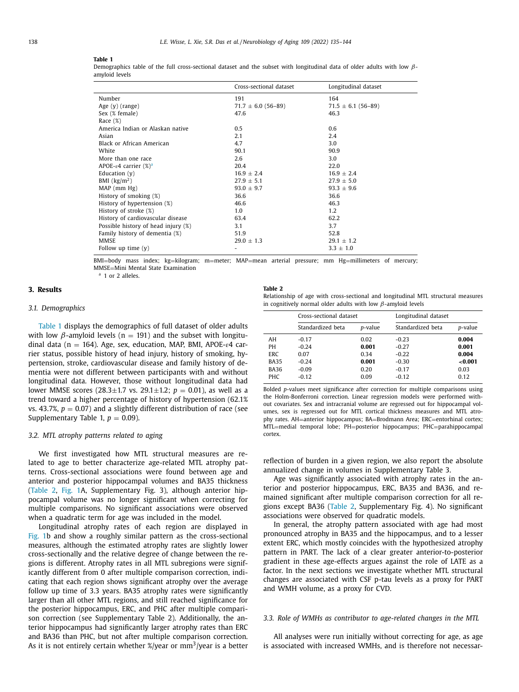## **Table 1**

Demographics table of the full cross-sectional dataset and the subset with longitudinal data of older adults with low  $\beta$ amyloid levels

|                                     | Cross-sectional dataset | Longitudinal dataset     |
|-------------------------------------|-------------------------|--------------------------|
| Number                              | 191                     | 164                      |
| Age $(y)$ (range)                   | $71.7 \pm 6.0$ (56-89)  | $71.5 \pm 6.1 (56 - 89)$ |
| Sex (% female)                      | 47.6                    | 46.3                     |
| Race $(\%)$                         |                         |                          |
| America Indian or Alaskan native    | 0.5                     | 0.6                      |
| Asian                               | 2.1                     | 2.4                      |
| Black or African American           | 4.7                     | 3.0                      |
| White                               | 90.1                    | 90.9                     |
| More than one race                  | 2.6                     | 3.0                      |
| APOE-ε4 carrier $(\%)^a$            | 20.4                    | 22.0                     |
| Education $(v)$                     | $16.9 \pm 2.4$          | $16.9 \pm 2.4$           |
| BMI $\left(\frac{kg}{m^2}\right)$   | $27.9 \pm 5.1$          | $27.9 \pm 5.0$           |
| MAP (mm Hg)                         | $93.0 \pm 9.7$          | $93.3 \pm 9.6$           |
| History of smoking (%)              | 36.6                    | 36.6                     |
| History of hypertension (%)         | 46.6                    | 46.3                     |
| History of stroke (%)               | 1.0                     | 1.2                      |
| History of cardiovascular disease   | 63.4                    | 62.2                     |
| Possible history of head injury (%) | 3.1                     | 3.7                      |
| Family history of dementia (%)      | 51.9                    | 52.8                     |
| <b>MMSE</b>                         | $29.0 \pm 1.3$          | $29.1 \pm 1.2$           |
| Follow up time $(y)$                |                         | $3.3 \pm 1.0$            |

BMI=body mass index; kg=kilogram; m=meter; MAP=mean arterial pressure; mm Hg=millimeters of mercury; MMSE=Mini Mental State Examination  $a = 1$  or 2 alleles.

# **3. Results**

# *3.1. Demographics*

Table 1 displays the demographics of full dataset of older adults with low  $\beta$ -amyloid levels (n = 191) and the subset with longitudinal data ( $n = 164$ ). Age, sex, education, MAP, BMI, APOE- $\varepsilon$ 4 carrier status, possible history of head injury, history of smoking, hypertension, stroke, cardiovascular disease and family history of dementia were not different between participants with and without longitudinal data. However, those without longitudinal data had lower MMSE scores (28.3 $\pm$ 1.7 vs. 29.1 $\pm$ 1.2;  $p = 0.01$ ), as well as a trend toward a higher percentage of history of hypertension (62.1% vs. 43.7%,  $p = 0.07$ ) and a slightly different distribution of race (see Supplementary Table 1,  $p = 0.09$ ).

## *3.2. MTL atrophy patterns related to aging*

We first investigated how MTL structural measures are related to age to better characterize age-related MTL atrophy patterns. Cross-sectional associations were found between age and anterior and posterior hippocampal volumes and BA35 thickness (Table 2, [Fig.](#page-4-0) 1A, Supplementary Fig. 3), although anterior hippocampal volume was no longer significant when correcting for multiple comparisons. No significant associations were observed when a quadratic term for age was included in the model.

Longitudinal atrophy rates of each region are displayed in [Fig.](#page-4-0) 1b and show a roughly similar pattern as the cross-sectional measures, although the estimated atrophy rates are slightly lower cross-sectionally and the relative degree of change between the regions is different. Atrophy rates in all MTL subregions were significantly different from 0 after multiple comparison correction, indicating that each region shows significant atrophy over the average follow up time of 3.3 years. BA35 atrophy rates were significantly larger than all other MTL regions, and still reached significance for the posterior hippocampus, ERC, and PHC after multiple comparison correction (see Supplementary Table 2). Additionally, the anterior hippocampus had significantly larger atrophy rates than ERC and BA36 than PHC, but not after multiple comparison correction. As it is not entirely certain whether  $\frac{g}{\text{year}}$  or mm<sup>3</sup>/year is a better

**Table 2**

| Relationship of age with cross-sectional and longitudinal MTL structural measures |  |
|-----------------------------------------------------------------------------------|--|
| in cognitively normal older adults with low $\beta$ -amyloid levels               |  |

|             | Cross-sectional dataset |         | Longitudinal dataset |         |
|-------------|-------------------------|---------|----------------------|---------|
|             | Standardized beta       | p-value | Standardized beta    | p-value |
| AH          | $-0.17$                 | 0.02    | $-0.23$              | 0.004   |
| PH          | $-0.24$                 | 0.001   | $-0.27$              | 0.001   |
| <b>ERC</b>  | 0.07                    | 0.34    | $-0.22$              | 0.004   |
| <b>BA35</b> | $-0.24$                 | 0.001   | $-0.30$              | < 0.001 |
| <b>BA36</b> | $-0.09$                 | 0.20    | $-0.17$              | 0.03    |
| <b>PHC</b>  | $-0.12$                 | 0.09    | $-0.12$              | 0.12    |

Bolded *p*-values meet significance after correction for multiple comparisons using the Holm-Bonferroni correction. Linear regression models were performed without covariates. Sex and intracranial volume are regressed out for hippocampal volumes, sex is regressed out for MTL cortical thickness measures and MTL atrophy rates. AH=anterior hippocampus; BA=Brodmann Area; ERC=entorhinal cortex; MTL=medial temporal lobe; PH=posterior hippocampus; PHC=parahippocampal cortex.

reflection of burden in a given region, we also report the absolute annualized change in volumes in Supplementary Table 3.

Age was significantly associated with atrophy rates in the anterior and posterior hippocampus, ERC, BA35 and BA36, and remained significant after multiple comparison correction for all regions except BA36 (Table 2, Supplementary Fig. 4). No significant associations were observed for quadratic models.

In general, the atrophy pattern associated with age had most pronounced atrophy in BA35 and the hippocampus, and to a lesser extent ERC, which mostly coincides with the hypothesized atrophy pattern in PART. The lack of a clear greater anterior-to-posterior gradient in these age-effects argues against the role of LATE as a factor. In the next sections we investigate whether MTL structural changes are associated with CSF p-tau levels as a proxy for PART and WMH volume, as a proxy for CVD.

# *3.3. Role of WMHs as contributor to age-related changes in the MTL*

All analyses were run initially without correcting for age, as age is associated with increased WMHs, and is therefore not necessar-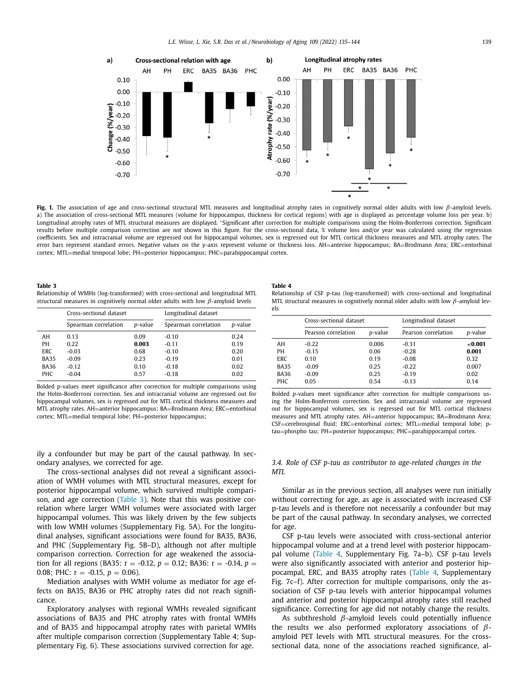<span id="page-4-0"></span>

**Fig. 1.** The association of age and cross-sectional structural MTL measures and longitudinal atrophy rates in cognitively normal older adults with low β-amyloid levels. a) The association of cross-sectional MTL measures (volume for hippocampus, thickness for cortical regions) with age is displayed as percentage volume loss per year. b) Longitudinal atrophy rates of MTL structural measures are displayed. <sup>∗</sup>Significant after correction for multiple comparisons using the Holm-Bonferroni correction. Significant results before multiple comparison correction are not shown in this figure. For the cross-sectional data, % volume loss and/or year was calculated using the regression coefficients. Sex and intracranial volume are regressed out for hippocampal volumes, sex is regressed out for MTL cortical thickness measures and MTL atrophy rates. The error bars represent standard errors. Negative values on the y-axis represent volume or thickness loss. AH=anterior hippocampus; BA=Brodmann Area; ERC=entorhinal cortex; MTL=medial temporal lobe; PH=posterior hippocampus; PHC=parahippocampal cortex.

### **Table 3**

Relationship of WMHs (log-transformed) with cross-sectional and longitudinal MTL structural measures in cognitively normal older adults with low  $\beta$ -amyloid levels

|             | Cross-sectional dataset |                 | Longitudinal dataset |         |
|-------------|-------------------------|-----------------|----------------------|---------|
|             | Spearman correlation    | <i>p</i> -value | Spearman correlation | p-value |
| AH          | 0.13                    | 0.09            | $-0.10$              | 0.24    |
| PH          | 0.22                    | 0.003           | $-0.11$              | 0.19    |
| <b>ERC</b>  | $-0.03$                 | 0.68            | $-0.10$              | 0.20    |
| <b>BA35</b> | $-0.09$                 | 0.23            | $-0.19$              | 0.01    |
| <b>BA36</b> | $-0.12$                 | 0.10            | $-0.18$              | 0.02    |
| <b>PHC</b>  | $-0.04$                 | 0.57            | $-0.18$              | 0.02    |
|             |                         |                 |                      |         |

Bolded *p*-values meet significance after correction for multiple comparisons using the Holm-Bonferroni correction. Sex and intracranial volume are regressed out for hippocampal volumes, sex is regressed out for MTL cortical thickness measures and MTL atrophy rates. AH=anterior hippocampus; BA=Brodmann Area; ERC=entorhinal cortex; MTL=medial temporal lobe; PH=posterior hippocampus;

ily a confounder but may be part of the causal pathway. In secondary analyses, we corrected for age.

The cross-sectional analyses did not reveal a significant association of WMH volumes with MTL structural measures, except for posterior hippocampal volume, which survived multiple comparison, and age correction (Table 3). Note that this was positive correlation where larger WMH volumes were associated with larger hippocampal volumes. This was likely driven by the few subjects with low WMH volumes (Supplementary Fig. 5A). For the longitudinal analyses, significant associations were found for BA35, BA36, and PHC (Supplementary Fig. 5B–D), although not after multiple comparison correction. Correction for age weakened the association for all regions (BA35:  $r = -0.12$ ,  $p = 0.12$ ; BA36:  $r = -0.14$ ,  $p =$ 0.08; PHC:  $r = -0.15$ ,  $p = 0.06$ ).

Mediation analyses with WMH volume as mediator for age effects on BA35, BA36 or PHC atrophy rates did not reach significance.

Exploratory analyses with regional WMHs revealed significant associations of BA35 and PHC atrophy rates with frontal WMHs and of BA35 and hippocampal atrophy rates with parietal WMHs after multiple comparison correction (Supplementary Table 4; Supplementary Fig. 6). These associations survived correction for age.

#### **Table 4**

| Relationship of CSF p-tau (log-transformed) with cross-sectional and longitudinal         |
|-------------------------------------------------------------------------------------------|
| MTL structural measures in cognitively normal older adults with low $\beta$ -amyloid lev- |
| els                                                                                       |

|                                       | Cross-sectional dataset               |                               | Longitudinal dataset                     |                                  |
|---------------------------------------|---------------------------------------|-------------------------------|------------------------------------------|----------------------------------|
|                                       | Pearson correlation                   | p-value                       | Pearson correlation                      | p-value                          |
| AH<br>PН<br><b>ERC</b><br><b>BA35</b> | $-0.22$<br>$-0.15$<br>0.10<br>$-0.09$ | 0.006<br>0.06<br>0.19<br>0.25 | $-0.31$<br>$-0.28$<br>$-0.08$<br>$-0.22$ | <0.001<br>0.001<br>0.32<br>0.007 |
| <b>BA36</b><br><b>PHC</b>             | $-0.09$<br>0.05                       | 0.25<br>0.54                  | $-0.19$<br>$-0.13$                       | 0.02<br>0.14                     |

Bolded *p*-values meet significance after correction for multiple comparisons using the Holm-Bonferroni correction. Sex and intracranial volume are regressed out for hippocampal volumes, sex is regressed out for MTL cortical thickness measures and MTL atrophy rates. AH=anterior hippocampus; BA=Brodmann Area; CSF=cerebrospinal fluid; ERC=entorhinal cortex; MTL=medial temporal lobe; ptau=phospho tau; PH=posterior hippocampus; PHC=parahippocampal cortex.

# *3.4. Role of CSF p-tau as contributor to age-related changes in the MTL*

Similar as in the previous section, all analyses were run initially without correcting for age, as age is associated with increased CSF p-tau levels and is therefore not necessarily a confounder but may be part of the causal pathway. In secondary analyses, we corrected for age.

CSF p-tau levels were associated with cross-sectional anterior hippocampal volume and at a trend level with posterior hippocampal volume (Table 4, Supplementary Fig. 7a–b). CSF p-tau levels were also significantly associated with anterior and posterior hippocampal, ERC, and BA35 atrophy rates (Table 4, Supplementary Fig. 7c–f). After correction for multiple comparisons, only the association of CSF p-tau levels with anterior hippocampal volumes and anterior and posterior hippocampal atrophy rates still reached significance. Correcting for age did not notably change the results.

As subthreshold  $\beta$ -amyloid levels could potentially influence the results we also performed exploratory associations of  $\beta$ amyloid PET levels with MTL structural measures. For the crosssectional data, none of the associations reached significance, al-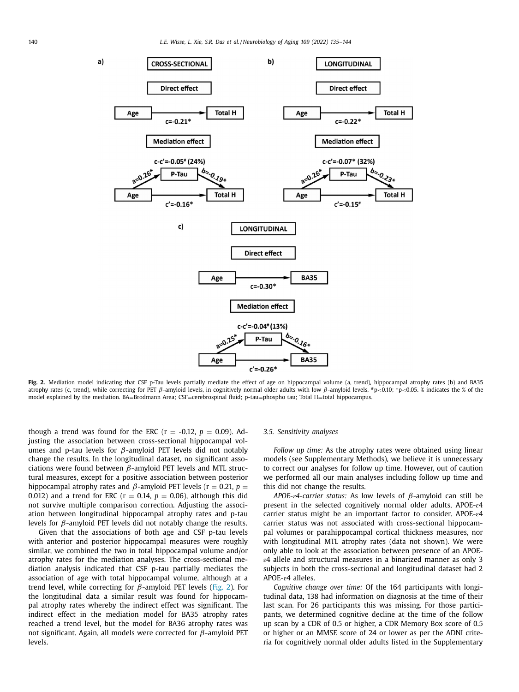

Fig. 2. Mediation model indicating that CSF p-Tau levels partially mediate the effect of age on hippocampal volume (a, trend), hippocampal atrophy rates (b) and BA35 atrophy rates (c, trend), while correcting for PET β-amyloid levels, in cognitively normal older adults with low β-amyloid levels, #p<0.10; \*p<0.05. % indicates the % of the model explained by the mediation. BA=Brodmann Area; CSF=cerebrospinal fluid; p-tau=phospho tau; Total H=total hippocampus.

though a trend was found for the ERC ( $r = -0.12$ ,  $p = 0.09$ ). Adjusting the association between cross-sectional hippocampal volumes and p-tau levels for  $β$ -amyloid PET levels did not notably change the results. In the longitudinal dataset, no significant associations were found between  $\beta$ -amyloid PET levels and MTL structural measures, except for a positive association between posterior hippocampal atrophy rates and  $\beta$ -amyloid PET levels ( $r = 0.21$ ,  $p =$ 0.012) and a trend for ERC ( $r = 0.14$ ,  $p = 0.06$ ), although this did not survive multiple comparison correction. Adjusting the association between longitudinal hippocampal atrophy rates and p-tau levels for  $\beta$ -amyloid PET levels did not notably change the results.

Given that the associations of both age and CSF p-tau levels with anterior and posterior hippocampal measures were roughly similar, we combined the two in total hippocampal volume and/or atrophy rates for the mediation analyses. The cross-sectional mediation analysis indicated that CSF p-tau partially mediates the association of age with total hippocampal volume, although at a trend level, while correcting for  $\beta$ -amyloid PET levels (Fig. 2). For the longitudinal data a similar result was found for hippocampal atrophy rates whereby the indirect effect was significant. The indirect effect in the mediation model for BA35 atrophy rates reached a trend level, but the model for BA36 atrophy rates was not significant. Again, all models were corrected for  $\beta$ -amyloid PET levels.

## *3.5. Sensitivity analyses*

*Follow up time:* As the atrophy rates were obtained using linear models (see Supplementary Methods), we believe it is unnecessary to correct our analyses for follow up time. However, out of caution we performed all our main analyses including follow up time and this did not change the results.

*APOE-ɛ4-carrier status:* As low levels of β-amyloid can still be present in the selected cognitively normal older adults, APOE- $\varepsilon$ 4 carrier status might be an important factor to consider. APOE- $\varepsilon$ 4 carrier status was not associated with cross-sectional hippocampal volumes or parahippocampal cortical thickness measures, nor with longitudinal MTL atrophy rates (data not shown). We were only able to look at the association between presence of an APOEɛ4 allele and structural measures in a binarized manner as only 3 subjects in both the cross-sectional and longitudinal dataset had 2 APOE-ɛ4 alleles.

*Cognitive change over time:* Of the 164 participants with longitudinal data, 138 had information on diagnosis at the time of their last scan. For 26 participants this was missing. For those participants, we determined cognitive decline at the time of the follow up scan by a CDR of 0.5 or higher, a CDR Memory Box score of 0.5 or higher or an MMSE score of 24 or lower as per the ADNI criteria for cognitively normal older adults listed in the Supplementary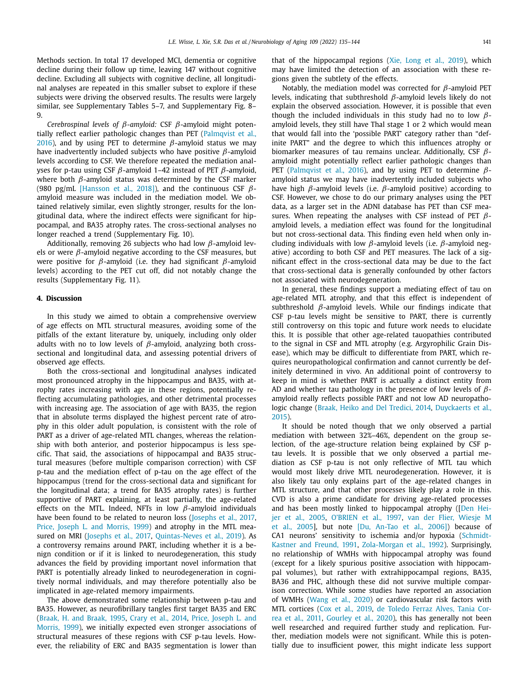Methods section. In total 17 developed MCI, dementia or cognitive decline during their follow up time, leaving 147 without cognitive decline. Excluding all subjects with cognitive decline, all longitudinal analyses are repeated in this smaller subset to explore if these subjects were driving the observed results. The results were largely similar, see Supplementary Tables 5–7, and Supplementary Fig. 8– 9.

*Cerebrospinal levels of* β*-amyloid:* CSF β-amyloid might potentially reflect earlier pathologic changes than PET [\(Palmqvist](#page-8-0) et al., 2016), and by using PET to determine  $\beta$ -amyloid status we may have inadvertently included subjects who have positive  $\beta$ -amyloid levels according to CSF. We therefore repeated the mediation analyses for p-tau using CSF  $β$ -amyloid 1–42 instead of PET  $β$ -amyloid, where both  $\beta$ -amyloid status was determined by the CSF marker (980 pg/mL [\[Hansson](#page-8-0) et al., 2018]), and the continuous CSF  $\beta$ amyloid measure was included in the mediation model. We obtained relatively similar, even slightly stronger, results for the longitudinal data, where the indirect effects were significant for hippocampal, and BA35 atrophy rates. The cross-sectional analyses no longer reached a trend (Supplementary Fig. 10).

Additionally, removing 26 subjects who had low  $\beta$ -amyloid levels or were  $\beta$ -amyloid negative according to the CSF measures, but were positive for  $β$ -amyloid (i.e. they had significant  $β$ -amyloid levels) according to the PET cut off, did not notably change the results (Supplementary Fig. 11).

## **4. Discussion**

In this study we aimed to obtain a comprehensive overview of age effects on MTL structural measures, avoiding some of the pitfalls of the extant literature by, uniquely, including only older adults with no to low levels of  $\beta$ -amyloid, analyzing both crosssectional and longitudinal data, and assessing potential drivers of observed age effects.

Both the cross-sectional and longitudinal analyses indicated most pronounced atrophy in the hippocampus and BA35, with atrophy rates increasing with age in these regions, potentially reflecting accumulating pathologies, and other detrimental processes with increasing age. The association of age with BA35, the region that in absolute terms displayed the highest percent rate of atrophy in this older adult population, is consistent with the role of PART as a driver of age-related MTL changes, whereas the relationship with both anterior, and posterior hippocampus is less specific. That said, the associations of hippocampal and BA35 structural measures (before multiple comparison correction) with CSF p-tau and the mediation effect of p-tau on the age effect of the hippocampus (trend for the cross-sectional data and significant for the longitudinal data; a trend for BA35 atrophy rates) is further supportive of PART explaining, at least partially, the age-related effects on the MTL. Indeed, NFTs in low  $\beta$ -amyloid individuals have been found to be related to neuron loss [\(Josephs](#page-8-0) et al., 2017, Price, Joseph L. and [Morris,](#page-8-0) 1999) and atrophy in the MTL measured on MRI [\(Josephs](#page-8-0) et al., 2017, [Quintas-Neves](#page-8-0) et al., 2019). As a controversy remains around PART, including whether it is a benign condition or if it is linked to neurodegeneration, this study advances the field by providing important novel information that PART is potentially already linked to neurodegeneration in cognitively normal individuals, and may therefore potentially also be implicated in age-related memory impairments.

The above demonstrated some relationship between p-tau and BA35. However, as neurofibrillary tangles first target BA35 and ERC [\(Braak,](#page-7-0) H. and Braak, 1995, [Crary](#page-8-0) et al., 2014, Price, Joseph L. and Morris, 1999), we initially expected even stronger [associations](#page-8-0) of structural measures of these regions with CSF p-tau levels. However, the reliability of ERC and BA35 segmentation is lower than that of the hippocampal regions (Xie, Long et al., [2019\)](#page-9-0), which may have limited the detection of an association with these regions given the subtlety of the effects.

Notably, the mediation model was corrected for  $\beta$ -amyloid PET levels, indicating that subthreshold β-amyloid levels likely do not explain the observed association. However, it is possible that even though the included individuals in this study had no to low  $\beta$ amyloid levels, they still have Thal stage 1 or 2 which would mean that would fall into the 'possible PART' category rather than "definite PART" and the degree to which this influences atrophy or biomarker measures of tau remains unclear. Additionally, CSF  $\beta$ amyloid might potentially reflect earlier pathologic changes than PET [\(Palmqvist](#page-8-0) et al., 2016), and by using PET to determine  $\beta$ amyloid status we may have inadvertently included subjects who have high  $β$ -amyloid levels (i.e.  $β$ -amyloid positive) according to CSF. However, we chose to do our primary analyses using the PET data, as a larger set in the ADNI database has PET than CSF measures. When repeating the analyses with CSF instead of PET  $\beta$ amyloid levels, a mediation effect was found for the longitudinal but not cross-sectional data. This finding even held when only including individuals with low  $\beta$ -amyloid levels (i.e.  $\beta$ -amyloid negative) according to both CSF and PET measures. The lack of a significant effect in the cross-sectional data may be due to the fact that cross-sectional data is generally confounded by other factors not associated with neurodegeneration.

In general, these findings support a mediating effect of tau on age-related MTL atrophy, and that this effect is independent of subthreshold  $\beta$ -amyloid levels. While our findings indicate that CSF p-tau levels might be sensitive to PART, there is currently still controversy on this topic and future work needs to elucidate this. It is possible that other age-related tauopathies contributed to the signal in CSF and MTL atrophy (e.g. Argyrophilic Grain Disease), which may be difficult to differentiate from PART, which requires neuropathological confirmation and cannot currently be definitely determined in vivo. An additional point of controversy to keep in mind is whether PART is actually a distinct entity from AD and whether tau pathology in the presence of low levels of  $\beta$ amyloid really reflects possible PART and not low AD neuropathologic change (Braak, Heiko and Del [Tredici,](#page-7-0) 2014, [Duyckaerts](#page-8-0) et al., 2015).

It should be noted though that we only observed a partial mediation with between 32%–46%, dependent on the group selection, of the age-structure relation being explained by CSF ptau levels. It is possible that we only observed a partial mediation as CSF p-tau is not only reflective of MTL tau which would most likely drive MTL neurodegeneration. However, it is also likely tau only explains part of the age-related changes in MTL structure, and that other processes likely play a role in this. CVD is also a prime candidate for driving age-related processes and has been mostly linked to [hippocampal](#page-8-0) atrophy ([Den Heijer et al., 2005, [O'BRIEN](#page-8-0) et al., 1997, van der Flier, Wiesje M et al., 2005], but note [Du, [An-Tao](#page-8-0) et al., 2006]) because of CA1 neurons' sensitivity to ischemia and/or hypoxia (Schmidt-Kastner and Freund, 1991, [Zola-Morgan](#page-9-0) et al., 1992). Surprisingly, no relationship of WMHs with hippocampal atrophy was found (except for a likely spurious positive association with hippocampal volumes), but rather with extrahippocampal regions, BA35, BA36 and PHC, although these did not survive multiple comparison correction. While some studies have reported an association of WMHs [\(Wang](#page-9-0) et al., 2020) or cardiovascular risk factors with MTL cortices (Cox et al., [2019,](#page-7-0) de Toledo Ferraz Alves, Tania Correa et al., 2011, [Gourley](#page-8-0) et al., 2020), this has [generally](#page-8-0) not been well researched and required further study and replication. Further, mediation models were not significant. While this is potentially due to insufficient power, this might indicate less support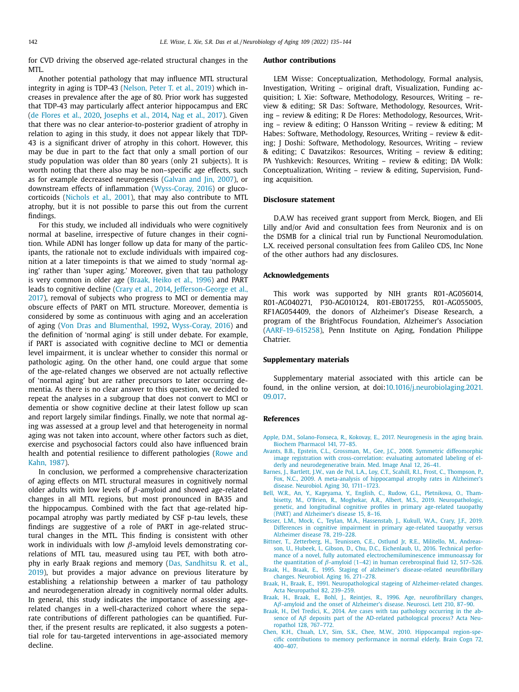<span id="page-7-0"></span>for CVD driving the observed age-related structural changes in the MTL.

Another potential pathology that may influence MTL structural integrity in aging is TDP-43 [\(Nelson,](#page-8-0) Peter T. et al., 2019) which increases in prevalence after the age of 80. Prior work has suggested that TDP-43 may particularly affect anterior hippocampus and ERC (de [Flores](#page-8-0) et al., 2020, [Josephs](#page-8-0) et al., 2014, Nag et al., [2017\)](#page-8-0). Given that there was no clear anterior-to-posterior gradient of atrophy in relation to aging in this study, it does not appear likely that TDP-43 is a significant driver of atrophy in this cohort. However, this may be due in part to the fact that only a small portion of our study population was older than 80 years (only 21 subjects). It is worth noting that there also may be non–specific age effects, such as for example decreased neurogenesis [\(Galvan](#page-8-0) and Jin, 2007), or downstream effects of inflammation [\(Wyss-Coray,](#page-9-0) 2016) or glucocorticoids [\(Nichols](#page-8-0) et al., 2001), that may also contribute to MTL atrophy, but it is not possible to parse this out from the current findings.

For this study, we included all individuals who were cognitively normal at baseline, irrespective of future changes in their cognition. While ADNI has longer follow up data for many of the participants, the rationale not to exclude individuals with impaired cognition at a later timepoints is that we aimed to study 'normal aging' rather than 'super aging.' Moreover, given that tau pathology is very common in older age (Braak, Heiko et al., 1996) and PART leads to cognitive decline [\(Crary](#page-8-0) et al., 2014, [Jefferson-George](#page-8-0) et al., 2017), removal of subjects who progress to MCI or dementia may obscure effects of PART on MTL structure. Moreover, dementia is considered by some as continuous with aging and an acceleration of aging (Von Dras and [Blumenthal,](#page-9-0) 1992, [Wyss-Coray,](#page-9-0) 2016) and the definition of 'normal aging' is still under debate. For example, if PART is associated with cognitive decline to MCI or dementia level impairment, it is unclear whether to consider this normal or pathologic aging. On the other hand, one could argue that some of the age-related changes we observed are not actually reflective of 'normal aging' but are rather precursors to later occurring dementia. As there is no clear answer to this question, we decided to repeat the analyses in a subgroup that does not convert to MCI or dementia or show cognitive decline at their latest follow up scan and report largely similar findings. Finally, we note that normal aging was assessed at a group level and that heterogeneity in normal aging was not taken into account, where other factors such as diet, exercise and psychosocial factors could also have influenced brain health and potential resilience to different [pathologies](#page-9-0) (Rowe and Kahn, 1987).

In conclusion, we performed a comprehensive characterization of aging effects on MTL structural measures in cognitively normal older adults with low levels of  $\beta$ -amyloid and showed age-related changes in all MTL regions, but most pronounced in BA35 and the hippocampus. Combined with the fact that age-related hippocampal atrophy was partly mediated by CSF p-tau levels, these findings are suggestive of a role of PART in age-related structural changes in the MTL. This finding is consistent with other work in individuals with low  $\beta$ -amyloid levels demonstrating correlations of MTL tau, measured using tau PET, with both atrophy in early Braak regions and memory (Das, [Sandhitsu](#page-8-0) R. et al., 2019), but provides a major advance on previous literature by establishing a relationship between a marker of tau pathology and neurodegeneration already in cognitively normal older adults. In general, this study indicates the importance of assessing agerelated changes in a well-characterized cohort where the separate contributions of different pathologies can be quantified. Further, if the present results are replicated, it also suggests a potential role for tau-targeted interventions in age-associated memory decline.

## **Author contributions**

LEM Wisse: Conceptualization, Methodology, Formal analysis, Investigation, Writing – original draft, Visualization, Funding acquisition; L Xie: Software, Methodology, Resources, Writing – review & editing; SR Das: Software, Methodology, Resources, Writing – review & editing; R De Flores: Methodology, Resources, Writing – review & editing; O Hansson Writing – review & editing; M Habes: Software, Methodology, Resources, Writing – review & editing; J Doshi: Software, Methodology, Resources, Writing – review & editing; C Davatzikos: Resources, Writing – review & editing; PA Yushkevich: Resources, Writing – review & editing; DA Wolk: Conceptualization, Writing – review & editing, Supervision, Funding acquisition.

# **Disclosure statement**

D.A.W has received grant support from Merck, Biogen, and Eli Lilly and/or Avid and consultation fees from Neuronix and is on the DSMB for a clinical trial run by Functional Neuromodulation. L.X. received personal consultation fees from Galileo CDS, Inc None of the other authors had any disclosures.

## **Acknowledgements**

This work was supported by NIH grants R01-AG056014, R01-AG040271, P30-AG010124, R01-EB017255, R01-AG055005, RF1AG054409, the donors of Alzheimer's Disease Research, a program of the BrightFocus Foundation, Alzheimer's Association (AARF-19-615258), Penn Institute on Aging, Fondation Philippe Chatrier.

# **Supplementary materials**

Supplementary material associated with this article can be found, in the online version, at [doi:10.1016/j.neurobiolaging.2021.](https://doi.org/10.1016/j.neurobiolaging.2021.09.017) 09.017.

### **References**

- [Apple,](http://refhub.elsevier.com/S0197-4580(21)00298-0/sbref0001) D.M., [Solano-Fonseca,](http://refhub.elsevier.com/S0197-4580(21)00298-0/sbref0001) R., [Kokovay,](http://refhub.elsevier.com/S0197-4580(21)00298-0/sbref0001) E., 2017. Neurogenesis in the aging brain. Biochem Pharmacol 141, 77–85.
- [Avants,](http://refhub.elsevier.com/S0197-4580(21)00298-0/sbref0002) B.B., [Epstein,](http://refhub.elsevier.com/S0197-4580(21)00298-0/sbref0002) C.L., [Grossman,](http://refhub.elsevier.com/S0197-4580(21)00298-0/sbref0002) M., [Gee,](http://refhub.elsevier.com/S0197-4580(21)00298-0/sbref0002) J.C., 2008. Symmetric diffeomorphic image registration with cross-correlation: evaluating automated labeling of elderly and [neurodegenerative](http://refhub.elsevier.com/S0197-4580(21)00298-0/sbref0002) brain. Med. Image Anal 12, 26–41.
- [Barnes,](http://refhub.elsevier.com/S0197-4580(21)00298-0/sbref0003) J., [Bartlett,](http://refhub.elsevier.com/S0197-4580(21)00298-0/sbref0003) J.W., van de Pol, [L.A.,](http://refhub.elsevier.com/S0197-4580(21)00298-0/sbref0003) [Loy,](http://refhub.elsevier.com/S0197-4580(21)00298-0/sbref0003) C.T., [Scahill,](http://refhub.elsevier.com/S0197-4580(21)00298-0/sbref0003) R.I., [Frost,](http://refhub.elsevier.com/S0197-4580(21)00298-0/sbref0003) C., [Thompson,](http://refhub.elsevier.com/S0197-4580(21)00298-0/sbref0003) P., Fox, [N.C.,](http://refhub.elsevier.com/S0197-4580(21)00298-0/sbref0003) 2009. A [meta-analysis](http://refhub.elsevier.com/S0197-4580(21)00298-0/sbref0003) of hippocampal atrophy rates in Alzheimer's disease. Neurobiol. Aging 30, 1711–1723.
- Bell, [W.R.,](http://refhub.elsevier.com/S0197-4580(21)00298-0/sbref0004) [An,](http://refhub.elsevier.com/S0197-4580(21)00298-0/sbref0004) Y., [Kageyama,](http://refhub.elsevier.com/S0197-4580(21)00298-0/sbref0004) Y., [English,](http://refhub.elsevier.com/S0197-4580(21)00298-0/sbref0004) C., [Rudow,](http://refhub.elsevier.com/S0197-4580(21)00298-0/sbref0004) G.L., [Pletnikova,](http://refhub.elsevier.com/S0197-4580(21)00298-0/sbref0004) O., Thambisetty, M., [O'Brien,](http://refhub.elsevier.com/S0197-4580(21)00298-0/sbref0004) R., [Moghekar,](http://refhub.elsevier.com/S0197-4580(21)00298-0/sbref0004) A.R., [Albert,](http://refhub.elsevier.com/S0197-4580(21)00298-0/sbref0004) M.S., 2019. [Neuropathologic,](http://refhub.elsevier.com/S0197-4580(21)00298-0/sbref0004) genetic, and longitudinal cognitive profiles in primary age-related tauopathy (PART) and Alzheimer's disease 15, 8–16.
- [Besser,](http://refhub.elsevier.com/S0197-4580(21)00298-0/sbref0005) L.M., [Mock,](http://refhub.elsevier.com/S0197-4580(21)00298-0/sbref0005) C., [Teylan,](http://refhub.elsevier.com/S0197-4580(21)00298-0/sbref0005) M.A., [Hassenstab,](http://refhub.elsevier.com/S0197-4580(21)00298-0/sbref0005) J., [Kukull,](http://refhub.elsevier.com/S0197-4580(21)00298-0/sbref0005) W.A., [Crary,](http://refhub.elsevier.com/S0197-4580(21)00298-0/sbref0005) J.F., 2019. Differences in cognitive [impairment](http://refhub.elsevier.com/S0197-4580(21)00298-0/sbref0005) in primary age-related tauopathy versus Alzheimer disease 78, 219–228.
- [Bittner,](http://refhub.elsevier.com/S0197-4580(21)00298-0/sbref0006) T., [Zetterberg,](http://refhub.elsevier.com/S0197-4580(21)00298-0/sbref0006) H., [Teunissen,](http://refhub.elsevier.com/S0197-4580(21)00298-0/sbref0006) C.E., [Ostlund](http://refhub.elsevier.com/S0197-4580(21)00298-0/sbref0006) Jr, R.E., [Militello,](http://refhub.elsevier.com/S0197-4580(21)00298-0/sbref0006) M., Andreasson, U., [Hubeek,](http://refhub.elsevier.com/S0197-4580(21)00298-0/sbref0006) I., [Gibson,](http://refhub.elsevier.com/S0197-4580(21)00298-0/sbref0006) D., [Chu,](http://refhub.elsevier.com/S0197-4580(21)00298-0/sbref0006) D.C., [Eichenlaub,](http://refhub.elsevier.com/S0197-4580(21)00298-0/sbref0006) U., 2016. Technical performance of a novel, fully automated [electrochemiluminescence](http://refhub.elsevier.com/S0197-4580(21)00298-0/sbref0006) immunoassay for the quantitation of  $β$ -amyloid (1–42) in human cerebrospinal fluid 12, 517–526.
- [Braak,](http://refhub.elsevier.com/S0197-4580(21)00298-0/sbref0007) H., [Braak,](http://refhub.elsevier.com/S0197-4580(21)00298-0/sbref0007) E., 1995. Staging of alzheimer's [disease-related](http://refhub.elsevier.com/S0197-4580(21)00298-0/sbref0007) neurofibrillary changes. Neurobiol. Aging 16, 271–278.
- [Braak,](http://refhub.elsevier.com/S0197-4580(21)00298-0/sbref0008) H., [Braak,](http://refhub.elsevier.com/S0197-4580(21)00298-0/sbref0008) E., 1991. [Neuropathological](http://refhub.elsevier.com/S0197-4580(21)00298-0/sbref0008) stageing of Alzheimer-related changes. Acta Neuropathol 82, 239–259.
- [Braak,](http://refhub.elsevier.com/S0197-4580(21)00298-0/sbref0009) H., [Braak,](http://refhub.elsevier.com/S0197-4580(21)00298-0/sbref0009) E., [Bohl,](http://refhub.elsevier.com/S0197-4580(21)00298-0/sbref0009) J., [Reintjes,](http://refhub.elsevier.com/S0197-4580(21)00298-0/sbref0009) R., 1996. Age, [neurofibrillary](http://refhub.elsevier.com/S0197-4580(21)00298-0/sbref0009) changes, Aβ-amyloid and the onset of Alzheimer's disease. Neurosci. Lett 210, 87–90.
- [Braak,](http://refhub.elsevier.com/S0197-4580(21)00298-0/sbref0010) H., Del [Tredici,](http://refhub.elsevier.com/S0197-4580(21)00298-0/sbref0010) K., 2014. Are cases with tau pathology occurring in the absence of Aβ deposits part of the AD-related [pathological](http://refhub.elsevier.com/S0197-4580(21)00298-0/sbref0010) process? Acta Neuropathol 128, 767–772.
- [Chen,](http://refhub.elsevier.com/S0197-4580(21)00298-0/sbref0011) K.H., [Chuah,](http://refhub.elsevier.com/S0197-4580(21)00298-0/sbref0011) L.Y., [Sim,](http://refhub.elsevier.com/S0197-4580(21)00298-0/sbref0011) S.K., Chee, [M.W.,](http://refhub.elsevier.com/S0197-4580(21)00298-0/sbref0011) 2010. Hippocampal region-specific [contributions](http://refhub.elsevier.com/S0197-4580(21)00298-0/sbref0011) to memory performance in normal elderly. Brain Cogn 72, 400–407.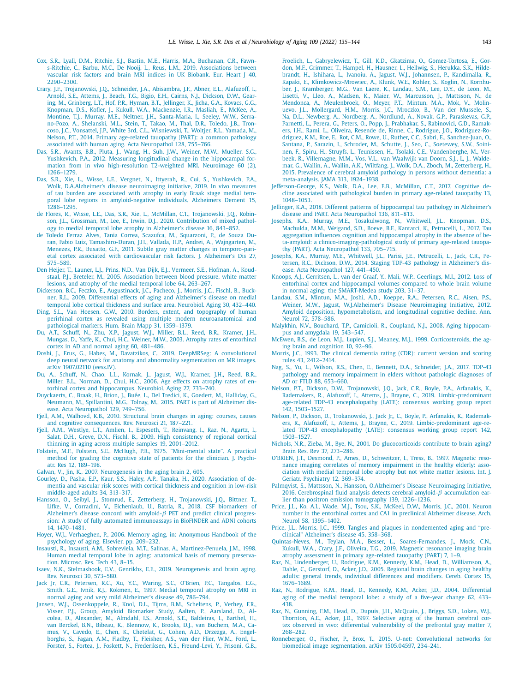- <span id="page-8-0"></span>[Cox,](http://refhub.elsevier.com/S0197-4580(21)00298-0/sbref0012) S.R., [Lyall,](http://refhub.elsevier.com/S0197-4580(21)00298-0/sbref0012) D.M., [Ritchie,](http://refhub.elsevier.com/S0197-4580(21)00298-0/sbref0012) S.J., [Bastin,](http://refhub.elsevier.com/S0197-4580(21)00298-0/sbref0012) M.E., [Harris,](http://refhub.elsevier.com/S0197-4580(21)00298-0/sbref0012) M.A., [Buchanan,](http://refhub.elsevier.com/S0197-4580(21)00298-0/sbref0012) C.R., Fawns-Ritchie, C., [Barbu,](http://refhub.elsevier.com/S0197-4580(21)00298-0/sbref0012) M.C., De [Nooij,](http://refhub.elsevier.com/S0197-4580(21)00298-0/sbref0012) L., [Reus,](http://refhub.elsevier.com/S0197-4580(21)00298-0/sbref0012) L.M., 2019. [Associations](http://refhub.elsevier.com/S0197-4580(21)00298-0/sbref0012) between vascular risk factors and brain MRI indices in UK Biobank. Eur. Heart J 40, 2290–2300.
- [Crary,](http://refhub.elsevier.com/S0197-4580(21)00298-0/sbref0013) J.F., [Trojanowski,](http://refhub.elsevier.com/S0197-4580(21)00298-0/sbref0013) J.Q., [Schneider,](http://refhub.elsevier.com/S0197-4580(21)00298-0/sbref0013) J.A., [Abisambra,](http://refhub.elsevier.com/S0197-4580(21)00298-0/sbref0013) J.F., [Abner,](http://refhub.elsevier.com/S0197-4580(21)00298-0/sbref0013) E.L., [Alafuzoff,](http://refhub.elsevier.com/S0197-4580(21)00298-0/sbref0013) I., [Arnold,](http://refhub.elsevier.com/S0197-4580(21)00298-0/sbref0013) S.E., [Attems,](http://refhub.elsevier.com/S0197-4580(21)00298-0/sbref0013) J., [Beach,](http://refhub.elsevier.com/S0197-4580(21)00298-0/sbref0013) T.G., [Bigio,](http://refhub.elsevier.com/S0197-4580(21)00298-0/sbref0013) E.H., [Cairns,](http://refhub.elsevier.com/S0197-4580(21)00298-0/sbref0013) N.J., [Dickson,](http://refhub.elsevier.com/S0197-4580(21)00298-0/sbref0013) D.W., Gearing, M., [Grinberg,](http://refhub.elsevier.com/S0197-4580(21)00298-0/sbref0013) L.T., [Hof,](http://refhub.elsevier.com/S0197-4580(21)00298-0/sbref0013) P.R., [Hyman,](http://refhub.elsevier.com/S0197-4580(21)00298-0/sbref0013) B.T., [Jellinger,](http://refhub.elsevier.com/S0197-4580(21)00298-0/sbref0013) K., [Jicha,](http://refhub.elsevier.com/S0197-4580(21)00298-0/sbref0013) G.A., [Kovacs,](http://refhub.elsevier.com/S0197-4580(21)00298-0/sbref0013) G.G., [Knopman,](http://refhub.elsevier.com/S0197-4580(21)00298-0/sbref0013) D.S., [Kofler,](http://refhub.elsevier.com/S0197-4580(21)00298-0/sbref0013) J., [Kukull,](http://refhub.elsevier.com/S0197-4580(21)00298-0/sbref0013) W.A., [Mackenzie,](http://refhub.elsevier.com/S0197-4580(21)00298-0/sbref0013) I.R., [Masliah,](http://refhub.elsevier.com/S0197-4580(21)00298-0/sbref0013) E., [McKee,](http://refhub.elsevier.com/S0197-4580(21)00298-0/sbref0013) A., [Montine,](http://refhub.elsevier.com/S0197-4580(21)00298-0/sbref0013) T.J., [Murray,](http://refhub.elsevier.com/S0197-4580(21)00298-0/sbref0013) M.E., [Neltner,](http://refhub.elsevier.com/S0197-4580(21)00298-0/sbref0013) J.H., [Santa-Maria,](http://refhub.elsevier.com/S0197-4580(21)00298-0/sbref0013) I., [Seeley,](http://refhub.elsevier.com/S0197-4580(21)00298-0/sbref0013) W.W., Serrano-Pozo, A., [Shelanski,](http://refhub.elsevier.com/S0197-4580(21)00298-0/sbref0013) M.L., [Stein,](http://refhub.elsevier.com/S0197-4580(21)00298-0/sbref0013) T., [Takao,](http://refhub.elsevier.com/S0197-4580(21)00298-0/sbref0013) M., [Thal,](http://refhub.elsevier.com/S0197-4580(21)00298-0/sbref0013) D.R., [Toledo,](http://refhub.elsevier.com/S0197-4580(21)00298-0/sbref0013) J.B., Troncoso, J.C., [Vonsattel,](http://refhub.elsevier.com/S0197-4580(21)00298-0/sbref0013) J.P., [White](http://refhub.elsevier.com/S0197-4580(21)00298-0/sbref0013) 3rd, C.L., [Wisniewski,](http://refhub.elsevier.com/S0197-4580(21)00298-0/sbref0013) T., [Woltjer,](http://refhub.elsevier.com/S0197-4580(21)00298-0/sbref0013) R.L., [Yamada,](http://refhub.elsevier.com/S0197-4580(21)00298-0/sbref0013) M., [Nelson,](http://refhub.elsevier.com/S0197-4580(21)00298-0/sbref0013) P.T., 2014. Primary age-related tauopathy (PART): a common pathology associated with human aging. Acta [Neuropathol](http://refhub.elsevier.com/S0197-4580(21)00298-0/sbref0013) 128, 755–766.
- [Das,](http://refhub.elsevier.com/S0197-4580(21)00298-0/sbref0014) S.R., [Avants,](http://refhub.elsevier.com/S0197-4580(21)00298-0/sbref0014) B.B., [Pluta,](http://refhub.elsevier.com/S0197-4580(21)00298-0/sbref0014) J., [Wang,](http://refhub.elsevier.com/S0197-4580(21)00298-0/sbref0014) H., [Suh,](http://refhub.elsevier.com/S0197-4580(21)00298-0/sbref0014) J.W., [Weiner,](http://refhub.elsevier.com/S0197-4580(21)00298-0/sbref0014) M.W., [Mueller,](http://refhub.elsevier.com/S0197-4580(21)00298-0/sbref0014) S.G., [Yushkevich,](http://refhub.elsevier.com/S0197-4580(21)00298-0/sbref0014) P.A., 2012. Measuring longitudinal change in the hippocampal formation from in vivo [high-resolution](http://refhub.elsevier.com/S0197-4580(21)00298-0/sbref0014) T2-weighted MRI. Neuroimage 60 (2), 1266–1279.
- [Das,](http://refhub.elsevier.com/S0197-4580(21)00298-0/sbref0015) S.R., [Xie,](http://refhub.elsevier.com/S0197-4580(21)00298-0/sbref0015) L., [Wisse,](http://refhub.elsevier.com/S0197-4580(21)00298-0/sbref0015) L.E., [Vergnet,](http://refhub.elsevier.com/S0197-4580(21)00298-0/sbref0015) N., [Ittyerah,](http://refhub.elsevier.com/S0197-4580(21)00298-0/sbref0015) R., [Cui,](http://refhub.elsevier.com/S0197-4580(21)00298-0/sbref0015) S., [Yushkevich,](http://refhub.elsevier.com/S0197-4580(21)00298-0/sbref0015) P.A., [Wolk,](http://refhub.elsevier.com/S0197-4580(21)00298-0/sbref0015) D.A.Alzheimer's disease neuroimaging initiative, 2019. In vivo measures of tau burden are associated with atrophy in early Braak stage medial temporal lobe regions in [amyloid-negative](http://refhub.elsevier.com/S0197-4580(21)00298-0/sbref0015) individuals. Alzheimers Dement 15, 1286–1295.
- de [Flores,](http://refhub.elsevier.com/S0197-4580(21)00298-0/sbref0016) R., [Wisse,](http://refhub.elsevier.com/S0197-4580(21)00298-0/sbref0016) L.E., [Das,](http://refhub.elsevier.com/S0197-4580(21)00298-0/sbref0016) S.R., [Xie,](http://refhub.elsevier.com/S0197-4580(21)00298-0/sbref0016) L., [McMillan,](http://refhub.elsevier.com/S0197-4580(21)00298-0/sbref0016) C.T., [Trojanowski,](http://refhub.elsevier.com/S0197-4580(21)00298-0/sbref0016) J.Q., Robinson, J.L., [Grossman,](http://refhub.elsevier.com/S0197-4580(21)00298-0/sbref0016) M., [Lee,](http://refhub.elsevier.com/S0197-4580(21)00298-0/sbref0016) E., [Irwin,](http://refhub.elsevier.com/S0197-4580(21)00298-0/sbref0016) D.J., 2020. [Contribution](http://refhub.elsevier.com/S0197-4580(21)00298-0/sbref0016) of mixed pathology to medial temporal lobe atrophy in Alzheimer's disease 16, 843–852.
- de Toledo Ferraz Alves, Tania [Correa,](http://refhub.elsevier.com/S0197-4580(21)00298-0/sbref0017) [Scazufca,](http://refhub.elsevier.com/S0197-4580(21)00298-0/sbref0017) M., [Squarzoni,](http://refhub.elsevier.com/S0197-4580(21)00298-0/sbref0017) P., de Souza Duran, Fabio Luiz, [Tamashiro-Duran,](http://refhub.elsevier.com/S0197-4580(21)00298-0/sbref0017) J.H., [Vallada,](http://refhub.elsevier.com/S0197-4580(21)00298-0/sbref0017) H.P., [Andrei,](http://refhub.elsevier.com/S0197-4580(21)00298-0/sbref0017) A., [Wajngarten,](http://refhub.elsevier.com/S0197-4580(21)00298-0/sbref0017) M., [Menezes,](http://refhub.elsevier.com/S0197-4580(21)00298-0/sbref0017) P.R., [Busatto,](http://refhub.elsevier.com/S0197-4580(21)00298-0/sbref0017) G.F., 2011. Subtle gray matter changes in temporo-parietal cortex associated with [cardiovascular](http://refhub.elsevier.com/S0197-4580(21)00298-0/sbref0017) risk factors. J. Alzheimer's Dis 27, 575–589.
- Den [Heijer,](http://refhub.elsevier.com/S0197-4580(21)00298-0/sbref0018) T., [Launer,](http://refhub.elsevier.com/S0197-4580(21)00298-0/sbref0018) L.J., [Prins,](http://refhub.elsevier.com/S0197-4580(21)00298-0/sbref0018) N.D., Van [Dijk,](http://refhub.elsevier.com/S0197-4580(21)00298-0/sbref0018) E.J., [Vermeer,](http://refhub.elsevier.com/S0197-4580(21)00298-0/sbref0018) S.E., [Hofman,](http://refhub.elsevier.com/S0197-4580(21)00298-0/sbref0018) A., Koudstaal, P.J., [Breteler,](http://refhub.elsevier.com/S0197-4580(21)00298-0/sbref0018) M., 2005. [Association](http://refhub.elsevier.com/S0197-4580(21)00298-0/sbref0018) between blood pressure, white matter lesions, and atrophy of the medial temporal lobe 64, 263–267.
- [Dickerson,](http://refhub.elsevier.com/S0197-4580(21)00298-0/sbref0019) B.C., [Feczko,](http://refhub.elsevier.com/S0197-4580(21)00298-0/sbref0019) E., [Augustinack,](http://refhub.elsevier.com/S0197-4580(21)00298-0/sbref0019) J.C., [Pacheco,](http://refhub.elsevier.com/S0197-4580(21)00298-0/sbref0019) J., [Morris,](http://refhub.elsevier.com/S0197-4580(21)00298-0/sbref0019) J.C., [Fischl,](http://refhub.elsevier.com/S0197-4580(21)00298-0/sbref0019) B., Buckner, R.L., 2009. Differential effects of aging and [Alzheimer's](http://refhub.elsevier.com/S0197-4580(21)00298-0/sbref0019) disease on medial temporal lobe cortical thickness and surface area. Neurobiol. Aging 30, 432–440.
- [Ding,](http://refhub.elsevier.com/S0197-4580(21)00298-0/sbref0020) S.L., Van [Hoesen,](http://refhub.elsevier.com/S0197-4580(21)00298-0/sbref0020) G.W., 2010. Borders, extent, and topography of human perirhinal cortex as revealed using multiple modern [neuroanatomical](http://refhub.elsevier.com/S0197-4580(21)00298-0/sbref0020) and pathological markers. Hum. Brain Mapp 31, 1359–1379.
- Du, [A.T.,](http://refhub.elsevier.com/S0197-4580(21)00298-0/sbref0022) [Schuff,](http://refhub.elsevier.com/S0197-4580(21)00298-0/sbref0022) N., [Zhu,](http://refhub.elsevier.com/S0197-4580(21)00298-0/sbref0022) X.P., [Jagust,](http://refhub.elsevier.com/S0197-4580(21)00298-0/sbref0022) W.J., [Miller,](http://refhub.elsevier.com/S0197-4580(21)00298-0/sbref0022) B.L., [Reed,](http://refhub.elsevier.com/S0197-4580(21)00298-0/sbref0022) B.R., [Kramer,](http://refhub.elsevier.com/S0197-4580(21)00298-0/sbref0022) J.H., [Mungas,](http://refhub.elsevier.com/S0197-4580(21)00298-0/sbref0022) D., [Yaffe,](http://refhub.elsevier.com/S0197-4580(21)00298-0/sbref0022) K., [Chui,](http://refhub.elsevier.com/S0197-4580(21)00298-0/sbref0022) H.C., [Weiner,](http://refhub.elsevier.com/S0197-4580(21)00298-0/sbref0022) M.W., 2003. Atrophy rates of [entorhinal](http://refhub.elsevier.com/S0197-4580(21)00298-0/sbref0022) cortex in AD and normal aging 60, 481–486.
- [Doshi,](http://refhub.elsevier.com/S0197-4580(21)00298-0/sbref0021) J., [Erus,](http://refhub.elsevier.com/S0197-4580(21)00298-0/sbref0021) G., [Habes,](http://refhub.elsevier.com/S0197-4580(21)00298-0/sbref0021) M., [Davatzikos,](http://refhub.elsevier.com/S0197-4580(21)00298-0/sbref0021) C., 2019. DeepMRSeg: A convolutional deep neural network for anatomy and abnormality [segmentation](http://refhub.elsevier.com/S0197-4580(21)00298-0/sbref0021) on MR images. arXiv 1907.02110 (eess.IV).
- [Du,](http://refhub.elsevier.com/S0197-4580(21)00298-0/sbref0023) A., [Schuff,](http://refhub.elsevier.com/S0197-4580(21)00298-0/sbref0023) N., [Chao,](http://refhub.elsevier.com/S0197-4580(21)00298-0/sbref0023) L.L., [Kornak,](http://refhub.elsevier.com/S0197-4580(21)00298-0/sbref0023) J., [Jagust,](http://refhub.elsevier.com/S0197-4580(21)00298-0/sbref0023) W.J., [Kramer,](http://refhub.elsevier.com/S0197-4580(21)00298-0/sbref0023) J.H., [Reed,](http://refhub.elsevier.com/S0197-4580(21)00298-0/sbref0023) B.R., [Miller,](http://refhub.elsevier.com/S0197-4580(21)00298-0/sbref0023) B.L., [Norman,](http://refhub.elsevier.com/S0197-4580(21)00298-0/sbref0023) D., [Chui,](http://refhub.elsevier.com/S0197-4580(21)00298-0/sbref0023) H.C., 2006. Age effects on atrophy rates of entorhinal cortex and [hippocampus.](http://refhub.elsevier.com/S0197-4580(21)00298-0/sbref0023) Neurobiol. Aging 27, 733–740.
- [Duyckaerts,](http://refhub.elsevier.com/S0197-4580(21)00298-0/sbref0024) C., [Braak,](http://refhub.elsevier.com/S0197-4580(21)00298-0/sbref0024) H., [Brion,](http://refhub.elsevier.com/S0197-4580(21)00298-0/sbref0024) J., [Buée,](http://refhub.elsevier.com/S0197-4580(21)00298-0/sbref0024) L., Del [Tredici,](http://refhub.elsevier.com/S0197-4580(21)00298-0/sbref0024) K., [Goedert,](http://refhub.elsevier.com/S0197-4580(21)00298-0/sbref0024) M., [Halliday,](http://refhub.elsevier.com/S0197-4580(21)00298-0/sbref0024) G., [Neumann,](http://refhub.elsevier.com/S0197-4580(21)00298-0/sbref0024) M., [Spillantini,](http://refhub.elsevier.com/S0197-4580(21)00298-0/sbref0024) M.G., [Tolnay,](http://refhub.elsevier.com/S0197-4580(21)00298-0/sbref0024) M., 2015. PART is part of Alzheimer disease. Acta [Neuropathol](http://refhub.elsevier.com/S0197-4580(21)00298-0/sbref0024) 129, 749–756.
- Fjell, [A.M.,](http://refhub.elsevier.com/S0197-4580(21)00298-0/sbref0025) [Walhovd,](http://refhub.elsevier.com/S0197-4580(21)00298-0/sbref0025) K.B., 2010. Structural brain changes in aging: courses, causes and cognitive [consequences.](http://refhub.elsevier.com/S0197-4580(21)00298-0/sbref0025) Rev. Neurosci 21, 187–221.
- Fjell, [A.M.,](http://refhub.elsevier.com/S0197-4580(21)00298-0/sbref0026) [Westlye,](http://refhub.elsevier.com/S0197-4580(21)00298-0/sbref0026) L.T., [Amlien,](http://refhub.elsevier.com/S0197-4580(21)00298-0/sbref0026) I., [Espeseth,](http://refhub.elsevier.com/S0197-4580(21)00298-0/sbref0026) T., [Reinvang,](http://refhub.elsevier.com/S0197-4580(21)00298-0/sbref0026) I., [Raz,](http://refhub.elsevier.com/S0197-4580(21)00298-0/sbref0026) N., [Agartz,](http://refhub.elsevier.com/S0197-4580(21)00298-0/sbref0026) I., [Salat,](http://refhub.elsevier.com/S0197-4580(21)00298-0/sbref0026) D.H., [Greve,](http://refhub.elsevier.com/S0197-4580(21)00298-0/sbref0026) D.N., [Fischl,](http://refhub.elsevier.com/S0197-4580(21)00298-0/sbref0026) B., 2009. High consistency of regional cortical thinning in aging across multiple samples 19, [2001–2012.](http://refhub.elsevier.com/S0197-4580(21)00298-0/sbref0026)
- [Folstein,](http://refhub.elsevier.com/S0197-4580(21)00298-0/sbref0027) M.F., [Folstein,](http://refhub.elsevier.com/S0197-4580(21)00298-0/sbref0027) S.E., [McHugh,](http://refhub.elsevier.com/S0197-4580(21)00298-0/sbref0027) P.R., 1975. ["Mini-mental](http://refhub.elsevier.com/S0197-4580(21)00298-0/sbref0027) state". A practical method for grading the cognitive state of patients for the clinician. J. Psychiatr. Res 12, 189–198.
- [Galvan,](http://refhub.elsevier.com/S0197-4580(21)00298-0/sbref0028) V., [Jin,](http://refhub.elsevier.com/S0197-4580(21)00298-0/sbref0028) K., 2007. [Neurogenesis](http://refhub.elsevier.com/S0197-4580(21)00298-0/sbref0028) in the aging brain 2, 605.
- [Gourley,](http://refhub.elsevier.com/S0197-4580(21)00298-0/sbref0029) D., [Pasha,](http://refhub.elsevier.com/S0197-4580(21)00298-0/sbref0029) E.P., [Kaur,](http://refhub.elsevier.com/S0197-4580(21)00298-0/sbref0029) S.S., [Haley,](http://refhub.elsevier.com/S0197-4580(21)00298-0/sbref0029) A.P., [Tanaka,](http://refhub.elsevier.com/S0197-4580(21)00298-0/sbref0029) H., 2020. Association of dementia and vascular risk scores with cortical thickness and cognition in low-risk [middle-aged](http://refhub.elsevier.com/S0197-4580(21)00298-0/sbref0029) adults 34, 313–317.
- [Hansson,](http://refhub.elsevier.com/S0197-4580(21)00298-0/sbref0030) O., [Seibyl,](http://refhub.elsevier.com/S0197-4580(21)00298-0/sbref0030) J., [Stomrud,](http://refhub.elsevier.com/S0197-4580(21)00298-0/sbref0030) E., [Zetterberg,](http://refhub.elsevier.com/S0197-4580(21)00298-0/sbref0030) H., [Trojanowski,](http://refhub.elsevier.com/S0197-4580(21)00298-0/sbref0030) J.Q., [Bittner,](http://refhub.elsevier.com/S0197-4580(21)00298-0/sbref0030) T., [Lifke,](http://refhub.elsevier.com/S0197-4580(21)00298-0/sbref0030) V., [Corradini,](http://refhub.elsevier.com/S0197-4580(21)00298-0/sbref0030) V., [Eichenlaub,](http://refhub.elsevier.com/S0197-4580(21)00298-0/sbref0030) U., [Batrla,](http://refhub.elsevier.com/S0197-4580(21)00298-0/sbref0030) R., 2018. CSF biomarkers of Alzheimer's disease concord with amyloid- $\beta$  PET and predict clinical progression: A study of fully automated [immunoassays](http://refhub.elsevier.com/S0197-4580(21)00298-0/sbref0030) in BioFINDER and ADNI cohorts 14, 1470–1481.
- [Hoyer,](http://refhub.elsevier.com/S0197-4580(21)00298-0/sbref0031) W.J., [Verhaeghen,](http://refhub.elsevier.com/S0197-4580(21)00298-0/sbref0031) P., 2006. Memory aging, in: Anonymous Handbook of the psychology of aging. Elsevier, pp. 209–232.
- [Insausti,](http://refhub.elsevier.com/S0197-4580(21)00298-0/sbref0032) R., [Insausti,](http://refhub.elsevier.com/S0197-4580(21)00298-0/sbref0032) A.M., [Sobreviela,](http://refhub.elsevier.com/S0197-4580(21)00298-0/sbref0032) M.T., [Salinas,](http://refhub.elsevier.com/S0197-4580(21)00298-0/sbref0032) A., [Martinez-Penuela,](http://refhub.elsevier.com/S0197-4580(21)00298-0/sbref0032) J.M., 1998. Human medial temporal lobe in aging: anatomical basis of memory preservation. Microsc. Res. Tech 43, 8–15.
- [Isaev,](http://refhub.elsevier.com/S0197-4580(21)00298-0/sbref0033) N.K., [Stelmashook,](http://refhub.elsevier.com/S0197-4580(21)00298-0/sbref0033) E.V., [Genrikhs,](http://refhub.elsevier.com/S0197-4580(21)00298-0/sbref0033) E.E., 2019. [Neurogenesis](http://refhub.elsevier.com/S0197-4580(21)00298-0/sbref0033) and brain aging. Rev. Neurosci 30, 573–580.
- [Jack](http://refhub.elsevier.com/S0197-4580(21)00298-0/sbref0034) Jr, C.R., [Petersen,](http://refhub.elsevier.com/S0197-4580(21)00298-0/sbref0034) R.C., Xu, [Y.C.,](http://refhub.elsevier.com/S0197-4580(21)00298-0/sbref0034) [Waring,](http://refhub.elsevier.com/S0197-4580(21)00298-0/sbref0034) S.C., [O'Brien,](http://refhub.elsevier.com/S0197-4580(21)00298-0/sbref0034) P.C., [Tangalos,](http://refhub.elsevier.com/S0197-4580(21)00298-0/sbref0034) E.G., [Smith,](http://refhub.elsevier.com/S0197-4580(21)00298-0/sbref0034) G.E., [Ivnik,](http://refhub.elsevier.com/S0197-4580(21)00298-0/sbref0034) R.J., [Kokmen,](http://refhub.elsevier.com/S0197-4580(21)00298-0/sbref0034) E., 1997. Medial temporal atrophy on MRI in normal aging and very mild [Alzheimer's](http://refhub.elsevier.com/S0197-4580(21)00298-0/sbref0034) disease 49, 786–794.
- [Jansen,](http://refhub.elsevier.com/S0197-4580(21)00298-0/sbref0035) W.J., [Ossenkoppele,](http://refhub.elsevier.com/S0197-4580(21)00298-0/sbref0035) R., [Knol,](http://refhub.elsevier.com/S0197-4580(21)00298-0/sbref0035) D.L., [Tijms,](http://refhub.elsevier.com/S0197-4580(21)00298-0/sbref0035) B.M., [Scheltens,](http://refhub.elsevier.com/S0197-4580(21)00298-0/sbref0035) P., [Verhey,](http://refhub.elsevier.com/S0197-4580(21)00298-0/sbref0035) F.R., [Visser,](http://refhub.elsevier.com/S0197-4580(21)00298-0/sbref0035) P.J., Group, Amyloid [Biomarker](http://refhub.elsevier.com/S0197-4580(21)00298-0/sbref0035) Study, [Aalten,](http://refhub.elsevier.com/S0197-4580(21)00298-0/sbref0035) P., [Aarsland,](http://refhub.elsevier.com/S0197-4580(21)00298-0/sbref0035) D., Alcolea, D., [Alexander,](http://refhub.elsevier.com/S0197-4580(21)00298-0/sbref0035) M., [Almdahl,](http://refhub.elsevier.com/S0197-4580(21)00298-0/sbref0035) I.S., [Arnold,](http://refhub.elsevier.com/S0197-4580(21)00298-0/sbref0035) S.E., [Baldeiras,](http://refhub.elsevier.com/S0197-4580(21)00298-0/sbref0035) I., [Barthel,](http://refhub.elsevier.com/S0197-4580(21)00298-0/sbref0035) H., van [Berckel,](http://refhub.elsevier.com/S0197-4580(21)00298-0/sbref0035) B.N., [Bibeau,](http://refhub.elsevier.com/S0197-4580(21)00298-0/sbref0035) K., [Blennow,](http://refhub.elsevier.com/S0197-4580(21)00298-0/sbref0035) K., [Brooks,](http://refhub.elsevier.com/S0197-4580(21)00298-0/sbref0035) D.J., van [Buchem,](http://refhub.elsevier.com/S0197-4580(21)00298-0/sbref0035) M.A., Camus, V., [Cavedo,](http://refhub.elsevier.com/S0197-4580(21)00298-0/sbref0035) E., [Chen,](http://refhub.elsevier.com/S0197-4580(21)00298-0/sbref0035) K., [Chetelat,](http://refhub.elsevier.com/S0197-4580(21)00298-0/sbref0035) G., [Cohen,](http://refhub.elsevier.com/S0197-4580(21)00298-0/sbref0035) A.D., [Drzezga,](http://refhub.elsevier.com/S0197-4580(21)00298-0/sbref0035) A., Engelborghs, S., [Fagan,](http://refhub.elsevier.com/S0197-4580(21)00298-0/sbref0035) A.M., [Fladby,](http://refhub.elsevier.com/S0197-4580(21)00298-0/sbref0035) T., [Fleisher,](http://refhub.elsevier.com/S0197-4580(21)00298-0/sbref0035) A.S., van der Flier, [W.M.,](http://refhub.elsevier.com/S0197-4580(21)00298-0/sbref0035) [Ford,](http://refhub.elsevier.com/S0197-4580(21)00298-0/sbref0035) L., [Forster,](http://refhub.elsevier.com/S0197-4580(21)00298-0/sbref0035) S., [Fortea,](http://refhub.elsevier.com/S0197-4580(21)00298-0/sbref0035) J., [Foskett,](http://refhub.elsevier.com/S0197-4580(21)00298-0/sbref0035) N., [Frederiksen,](http://refhub.elsevier.com/S0197-4580(21)00298-0/sbref0035) K.S., [Freund-Levi,](http://refhub.elsevier.com/S0197-4580(21)00298-0/sbref0035) Y., [Frisoni,](http://refhub.elsevier.com/S0197-4580(21)00298-0/sbref0035) G.B.,

[Froelich,](http://refhub.elsevier.com/S0197-4580(21)00298-0/sbref0035) L., [Gabryelewicz,](http://refhub.elsevier.com/S0197-4580(21)00298-0/sbref0035) T., Gill, [K.D.,](http://refhub.elsevier.com/S0197-4580(21)00298-0/sbref0035) [Gkatzima,](http://refhub.elsevier.com/S0197-4580(21)00298-0/sbref0035) O., [Gomez-Tortosa,](http://refhub.elsevier.com/S0197-4580(21)00298-0/sbref0035) E., Gordon, M.F., [Grimmer,](http://refhub.elsevier.com/S0197-4580(21)00298-0/sbref0035) T., [Hampel,](http://refhub.elsevier.com/S0197-4580(21)00298-0/sbref0035) H., [Hausner,](http://refhub.elsevier.com/S0197-4580(21)00298-0/sbref0035) L., [Hellwig,](http://refhub.elsevier.com/S0197-4580(21)00298-0/sbref0035) S., [Herukka,](http://refhub.elsevier.com/S0197-4580(21)00298-0/sbref0035) S.K., Hildebrandt, H., [Ishihara,](http://refhub.elsevier.com/S0197-4580(21)00298-0/sbref0035) L., [Ivanoiu,](http://refhub.elsevier.com/S0197-4580(21)00298-0/sbref0035) A., [Jagust,](http://refhub.elsevier.com/S0197-4580(21)00298-0/sbref0035) W.J., [Johannsen,](http://refhub.elsevier.com/S0197-4580(21)00298-0/sbref0035) P., [Kandimalla,](http://refhub.elsevier.com/S0197-4580(21)00298-0/sbref0035) R., [Kapaki,](http://refhub.elsevier.com/S0197-4580(21)00298-0/sbref0035) E., [Klimkowicz-Mrowiec,](http://refhub.elsevier.com/S0197-4580(21)00298-0/sbref0035) A., [Klunk,](http://refhub.elsevier.com/S0197-4580(21)00298-0/sbref0035) W.E., [Kohler,](http://refhub.elsevier.com/S0197-4580(21)00298-0/sbref0035) S., [Koglin,](http://refhub.elsevier.com/S0197-4580(21)00298-0/sbref0035) N., Kornhuber, J., [Kramberger,](http://refhub.elsevier.com/S0197-4580(21)00298-0/sbref0035) M.G., Van [Laere,](http://refhub.elsevier.com/S0197-4580(21)00298-0/sbref0035) K., [Landau,](http://refhub.elsevier.com/S0197-4580(21)00298-0/sbref0035) S.M., Lee, [D.Y.,](http://refhub.elsevier.com/S0197-4580(21)00298-0/sbref0035) de [Leon,](http://refhub.elsevier.com/S0197-4580(21)00298-0/sbref0035) M., [Lisetti,](http://refhub.elsevier.com/S0197-4580(21)00298-0/sbref0035) V., [Lleo,](http://refhub.elsevier.com/S0197-4580(21)00298-0/sbref0035) A., [Madsen,](http://refhub.elsevier.com/S0197-4580(21)00298-0/sbref0035) K., [Maier,](http://refhub.elsevier.com/S0197-4580(21)00298-0/sbref0035) W., [Marcusson,](http://refhub.elsevier.com/S0197-4580(21)00298-0/sbref0035) J., [Mattsson,](http://refhub.elsevier.com/S0197-4580(21)00298-0/sbref0035) N., de Mendonca, A., [Meulenbroek,](http://refhub.elsevier.com/S0197-4580(21)00298-0/sbref0035) O., [Meyer,](http://refhub.elsevier.com/S0197-4580(21)00298-0/sbref0035) P.T., [Mintun,](http://refhub.elsevier.com/S0197-4580(21)00298-0/sbref0035) M.A., [Mok,](http://refhub.elsevier.com/S0197-4580(21)00298-0/sbref0035) V., Molinuevo, J.L., [Mollergard,](http://refhub.elsevier.com/S0197-4580(21)00298-0/sbref0035) H.M., [Morris,](http://refhub.elsevier.com/S0197-4580(21)00298-0/sbref0035) J.C., [Mroczko,](http://refhub.elsevier.com/S0197-4580(21)00298-0/sbref0035) B., Van der [Mussele,](http://refhub.elsevier.com/S0197-4580(21)00298-0/sbref0035) S., Na, [D.L.,](http://refhub.elsevier.com/S0197-4580(21)00298-0/sbref0035) [Newberg,](http://refhub.elsevier.com/S0197-4580(21)00298-0/sbref0035) A., [Nordberg,](http://refhub.elsevier.com/S0197-4580(21)00298-0/sbref0035) A., [Nordlund,](http://refhub.elsevier.com/S0197-4580(21)00298-0/sbref0035) A., [Novak,](http://refhub.elsevier.com/S0197-4580(21)00298-0/sbref0035) G.P., [Paraskevas,](http://refhub.elsevier.com/S0197-4580(21)00298-0/sbref0035) G.P., [Parnetti,](http://refhub.elsevier.com/S0197-4580(21)00298-0/sbref0035) L., [Perera,](http://refhub.elsevier.com/S0197-4580(21)00298-0/sbref0035) G., [Peters,](http://refhub.elsevier.com/S0197-4580(21)00298-0/sbref0035) O., [Popp,](http://refhub.elsevier.com/S0197-4580(21)00298-0/sbref0035) J., [Prabhakar,](http://refhub.elsevier.com/S0197-4580(21)00298-0/sbref0035) S., [Rabinovici,](http://refhub.elsevier.com/S0197-4580(21)00298-0/sbref0035) G.D., Ramakers, I.H., [Rami,](http://refhub.elsevier.com/S0197-4580(21)00298-0/sbref0035) L., Oliveira, [Resende](http://refhub.elsevier.com/S0197-4580(21)00298-0/sbref0035) de, [Rinne,](http://refhub.elsevier.com/S0197-4580(21)00298-0/sbref0035) C., [Rodrigue,](http://refhub.elsevier.com/S0197-4580(21)00298-0/sbref0035) J.O., [Rodriguez-Ro](http://refhub.elsevier.com/S0197-4580(21)00298-0/sbref0035)driguez, K.M., [Roe,](http://refhub.elsevier.com/S0197-4580(21)00298-0/sbref0035) E., Rot, [C.M.,](http://refhub.elsevier.com/S0197-4580(21)00298-0/sbref0035) [Rowe,](http://refhub.elsevier.com/S0197-4580(21)00298-0/sbref0035) U., [Ruther,](http://refhub.elsevier.com/S0197-4580(21)00298-0/sbref0035) C.C., [Sabri,](http://refhub.elsevier.com/S0197-4580(21)00298-0/sbref0035) E., [Sanchez-Juan,](http://refhub.elsevier.com/S0197-4580(21)00298-0/sbref0035) O., [Santana,](http://refhub.elsevier.com/S0197-4580(21)00298-0/sbref0035) P., [Sarazin,](http://refhub.elsevier.com/S0197-4580(21)00298-0/sbref0035) I., [Schroder,](http://refhub.elsevier.com/S0197-4580(21)00298-0/sbref0035) M., [Schutte,](http://refhub.elsevier.com/S0197-4580(21)00298-0/sbref0035) J., [Seo,](http://refhub.elsevier.com/S0197-4580(21)00298-0/sbref0035) C., [Soetewey,](http://refhub.elsevier.com/S0197-4580(21)00298-0/sbref0035) S.W., Soininen, F., [Spiru,](http://refhub.elsevier.com/S0197-4580(21)00298-0/sbref0035) H., [Struyfs,](http://refhub.elsevier.com/S0197-4580(21)00298-0/sbref0035) L., [Teunissen,](http://refhub.elsevier.com/S0197-4580(21)00298-0/sbref0035) H., [Tsolaki,](http://refhub.elsevier.com/S0197-4580(21)00298-0/sbref0035) C.E., [Vandenberghe,](http://refhub.elsevier.com/S0197-4580(21)00298-0/sbref0035) M., Verbeek, R., [Villemagne,](http://refhub.elsevier.com/S0197-4580(21)00298-0/sbref0035) M.M., [Vos,](http://refhub.elsevier.com/S0197-4580(21)00298-0/sbref0035) V.L., van [Waalwijk](http://refhub.elsevier.com/S0197-4580(21)00298-0/sbref0035) van Doorn, S.J., [L,](http://refhub.elsevier.com/S0197-4580(21)00298-0/sbref0035) J., Waldemar, G., [Wallin,](http://refhub.elsevier.com/S0197-4580(21)00298-0/sbref0035) A., [Wallin,](http://refhub.elsevier.com/S0197-4580(21)00298-0/sbref0035) A.K., [Wiltfang,](http://refhub.elsevier.com/S0197-4580(21)00298-0/sbref0035) J., [Wolk,](http://refhub.elsevier.com/S0197-4580(21)00298-0/sbref0035) D.A., [Zboch,](http://refhub.elsevier.com/S0197-4580(21)00298-0/sbref0035) M., [Zetterberg,](http://refhub.elsevier.com/S0197-4580(21)00298-0/sbref0035) H., 2015. Prevalence of cerebral amyloid pathology in persons without dementia: a [meta-analysis.](http://refhub.elsevier.com/S0197-4580(21)00298-0/sbref0035) JAMA 313, 1924–1938.

- [Jefferson-George,](http://refhub.elsevier.com/S0197-4580(21)00298-0/sbref0036) K.S., [Wolk,](http://refhub.elsevier.com/S0197-4580(21)00298-0/sbref0036) D.A., Lee, [E.B.,](http://refhub.elsevier.com/S0197-4580(21)00298-0/sbref0036) [McMillan,](http://refhub.elsevier.com/S0197-4580(21)00298-0/sbref0036) C.T., 2017. Cognitive decline associated with pathological burden in primary age-related tauopathy 13, 1048–1053.
- [Jellinger,](http://refhub.elsevier.com/S0197-4580(21)00298-0/sbref0037) K.A., 2018. Different patterns of [hippocampal](http://refhub.elsevier.com/S0197-4580(21)00298-0/sbref0037) tau pathology in Alzheimer's disease and PART. Acta Neuropathol 136, 811–813.
- [Josephs,](http://refhub.elsevier.com/S0197-4580(21)00298-0/sbref0038) K.A., [Murray,](http://refhub.elsevier.com/S0197-4580(21)00298-0/sbref0038) M.E., [Tosakulwong,](http://refhub.elsevier.com/S0197-4580(21)00298-0/sbref0038) N., [Whitwell,](http://refhub.elsevier.com/S0197-4580(21)00298-0/sbref0038) J.L., [Knopman,](http://refhub.elsevier.com/S0197-4580(21)00298-0/sbref0038) D.S., [Machulda,](http://refhub.elsevier.com/S0197-4580(21)00298-0/sbref0038) M.M., [Weigand,](http://refhub.elsevier.com/S0197-4580(21)00298-0/sbref0038) S.D., [Boeve,](http://refhub.elsevier.com/S0197-4580(21)00298-0/sbref0038) B.F., [Kantarci,](http://refhub.elsevier.com/S0197-4580(21)00298-0/sbref0038) K., [Petrucelli,](http://refhub.elsevier.com/S0197-4580(21)00298-0/sbref0038) L., 2017. Tau aggregation influences cognition and hippocampal atrophy in the absence of beta-amyloid: a [clinico-imaging-pathological](http://refhub.elsevier.com/S0197-4580(21)00298-0/sbref0038) study of primary age-related tauopathy (PART). Acta Neuropathol 133, 705–715.
- [Josephs,](http://refhub.elsevier.com/S0197-4580(21)00298-0/sbref0039) K.A., [Murray,](http://refhub.elsevier.com/S0197-4580(21)00298-0/sbref0039) M.E., [Whitwell,](http://refhub.elsevier.com/S0197-4580(21)00298-0/sbref0039) J.L., [Parisi,](http://refhub.elsevier.com/S0197-4580(21)00298-0/sbref0039) J.E., [Petrucelli,](http://refhub.elsevier.com/S0197-4580(21)00298-0/sbref0039) L., [Jack,](http://refhub.elsevier.com/S0197-4580(21)00298-0/sbref0039) C.R., Petersen, R.C., [Dickson,](http://refhub.elsevier.com/S0197-4580(21)00298-0/sbref0039) D.W., 2014. Staging TDP-43 pathology in [Alzheimer's](http://refhub.elsevier.com/S0197-4580(21)00298-0/sbref0039) disease. Acta [Neuropathol](http://refhub.elsevier.com/S0197-4580(21)00298-0/sbref0039) 127, 441–450.
- [Knoops,](http://refhub.elsevier.com/S0197-4580(21)00298-0/sbref0040) A.J., [Gerritsen,](http://refhub.elsevier.com/S0197-4580(21)00298-0/sbref0040) L., van der [Graaf,](http://refhub.elsevier.com/S0197-4580(21)00298-0/sbref0040) Y., [Mali,](http://refhub.elsevier.com/S0197-4580(21)00298-0/sbref0040) W.P., [Geerlings,](http://refhub.elsevier.com/S0197-4580(21)00298-0/sbref0040) M.I., 2012. Loss of entorhinal cortex and hippocampal volumes compared to whole brain volume in normal aging: the [SMART-Medea](http://refhub.elsevier.com/S0197-4580(21)00298-0/sbref0040) study 203, 31–37.
- [Landau,](http://refhub.elsevier.com/S0197-4580(21)00298-0/sbref0041) S.M., [Mintun,](http://refhub.elsevier.com/S0197-4580(21)00298-0/sbref0041) M.A., [Joshi,](http://refhub.elsevier.com/S0197-4580(21)00298-0/sbref0041) A.D., [Koeppe,](http://refhub.elsevier.com/S0197-4580(21)00298-0/sbref0041) R.A., [Petersen,](http://refhub.elsevier.com/S0197-4580(21)00298-0/sbref0041) R.C., [Aisen,](http://refhub.elsevier.com/S0197-4580(21)00298-0/sbref0041) P.S., [Weiner,](http://refhub.elsevier.com/S0197-4580(21)00298-0/sbref0041) M.W., [Jagust,](http://refhub.elsevier.com/S0197-4580(21)00298-0/sbref0041) W.J.Alzheimer's Disease Neuroimaging Initiative, 2012. Amyloid deposition, [hypometabolism,](http://refhub.elsevier.com/S0197-4580(21)00298-0/sbref0041) and longitudinal cognitive decline. Ann. Neurol 72, 578–586.
- [Malykhin,](http://refhub.elsevier.com/S0197-4580(21)00298-0/sbref0042) N.V., [Bouchard,](http://refhub.elsevier.com/S0197-4580(21)00298-0/sbref0042) T.P., [Camicioli,](http://refhub.elsevier.com/S0197-4580(21)00298-0/sbref0042) R., [Coupland,](http://refhub.elsevier.com/S0197-4580(21)00298-0/sbref0042) N.J., 2008. Aging [hippocam](http://refhub.elsevier.com/S0197-4580(21)00298-0/sbref0042)pus and amygdala 19, 543–547.
- [McEwen,](http://refhub.elsevier.com/S0197-4580(21)00298-0/sbref0043) B.S., de [Leon,](http://refhub.elsevier.com/S0197-4580(21)00298-0/sbref0043) M.J., [Lupien,](http://refhub.elsevier.com/S0197-4580(21)00298-0/sbref0043) S.J., [Meaney,](http://refhub.elsevier.com/S0197-4580(21)00298-0/sbref0043) M.J., 1999. [Corticosteroids,](http://refhub.elsevier.com/S0197-4580(21)00298-0/sbref0043) the aging brain and cognition 10, 92–96.
- [Morris,](http://refhub.elsevier.com/S0197-4580(21)00298-0/sbref0044) J.C., 1993. The clinical dementia rating (CDR): current version and scoring rules 43, [2412–2414.](http://refhub.elsevier.com/S0197-4580(21)00298-0/sbref0044)
- [Nag,](http://refhub.elsevier.com/S0197-4580(21)00298-0/sbref0045) S., [Yu,](http://refhub.elsevier.com/S0197-4580(21)00298-0/sbref0045) L., [Wilson,](http://refhub.elsevier.com/S0197-4580(21)00298-0/sbref0045) R.S., [Chen,](http://refhub.elsevier.com/S0197-4580(21)00298-0/sbref0045) E., [Bennett,](http://refhub.elsevier.com/S0197-4580(21)00298-0/sbref0045) D.A., [Schneider,](http://refhub.elsevier.com/S0197-4580(21)00298-0/sbref0045) J.A., 2017. TDP-43 pathology and memory [impairment](http://refhub.elsevier.com/S0197-4580(21)00298-0/sbref0045) in elders without pathologic diagnoses of AD or FTLD 88, 653–660.
- [Nelson,](http://refhub.elsevier.com/S0197-4580(21)00298-0/sbref0046) P.T., [Dickson,](http://refhub.elsevier.com/S0197-4580(21)00298-0/sbref0046) D.W., [Trojanowski,](http://refhub.elsevier.com/S0197-4580(21)00298-0/sbref0046) J.Q., [Jack,](http://refhub.elsevier.com/S0197-4580(21)00298-0/sbref0046) C.R., [Boyle,](http://refhub.elsevier.com/S0197-4580(21)00298-0/sbref0046) P.A., [Arfanakis,](http://refhub.elsevier.com/S0197-4580(21)00298-0/sbref0046) K., [Rademakers,](http://refhub.elsevier.com/S0197-4580(21)00298-0/sbref0046) R., [Alafuzoff,](http://refhub.elsevier.com/S0197-4580(21)00298-0/sbref0046) I., [Attems,](http://refhub.elsevier.com/S0197-4580(21)00298-0/sbref0046) J., [Brayne,](http://refhub.elsevier.com/S0197-4580(21)00298-0/sbref0046) C., 2019. [Limbic-predominant](http://refhub.elsevier.com/S0197-4580(21)00298-0/sbref0046) age-related TDP-43 encephalopathy (LATE): consensus working group report 142, 1503–1527.
- [Nelson,](http://refhub.elsevier.com/S0197-4580(21)00298-0/sbref0047) P., [Dickson,](http://refhub.elsevier.com/S0197-4580(21)00298-0/sbref0047) D., [Trokanowski,](http://refhub.elsevier.com/S0197-4580(21)00298-0/sbref0047) J., Jack Jr., C., [Boyle,](http://refhub.elsevier.com/S0197-4580(21)00298-0/sbref0047) P., [Arfanakis,](http://refhub.elsevier.com/S0197-4580(21)00298-0/sbref0047) K., Rademakers, R., [Alafuzoff,](http://refhub.elsevier.com/S0197-4580(21)00298-0/sbref0047) I., [Attems,](http://refhub.elsevier.com/S0197-4580(21)00298-0/sbref0047) J., [Brayne,](http://refhub.elsevier.com/S0197-4580(21)00298-0/sbref0047) C., 2019. [Limbic-predominant](http://refhub.elsevier.com/S0197-4580(21)00298-0/sbref0047) age-related TDP-43 encephalopathy (LATE): consensus working group report 142, 1503–1527.
- [Nichols,](http://refhub.elsevier.com/S0197-4580(21)00298-0/sbref0048) N.R., [Zieba,](http://refhub.elsevier.com/S0197-4580(21)00298-0/sbref0048) M., [Bye,](http://refhub.elsevier.com/S0197-4580(21)00298-0/sbref0048) N., 2001. Do [glucocorticoids](http://refhub.elsevier.com/S0197-4580(21)00298-0/sbref0048) contribute to brain aging? Brain Res. Rev 37, 273–286.
- [O'BRIEN,](http://refhub.elsevier.com/S0197-4580(21)00298-0/sbref0049) J.T., [Desmond,](http://refhub.elsevier.com/S0197-4580(21)00298-0/sbref0049) P., [Ames,](http://refhub.elsevier.com/S0197-4580(21)00298-0/sbref0049) D., [Schweitzer,](http://refhub.elsevier.com/S0197-4580(21)00298-0/sbref0049) I., [Tress,](http://refhub.elsevier.com/S0197-4580(21)00298-0/sbref0049) B., 1997. Magnetic resonance imaging correlates of memory [impairment](http://refhub.elsevier.com/S0197-4580(21)00298-0/sbref0049) in the healthy elderly: association with medial temporal lobe atrophy but not white matter lesions. Int. J. Geriatr. Psychiatry 12, 369–374.
- [Palmqvist,](http://refhub.elsevier.com/S0197-4580(21)00298-0/sbref0050) S., [Mattsson,](http://refhub.elsevier.com/S0197-4580(21)00298-0/sbref0050) N., [Hansson,](http://refhub.elsevier.com/S0197-4580(21)00298-0/sbref0050) O.Alzheimer's Disease [Neuroimaging](http://refhub.elsevier.com/S0197-4580(21)00298-0/sbref0050) Initiative, 2016. Cerebrospinal fluid analysis detects cerebral amyloid- $\beta$  accumulation earlier than positron emission tomography 139, 1226–1236.
- [Price,](http://refhub.elsevier.com/S0197-4580(21)00298-0/sbref0051) J.L., Ko, [A.I.,](http://refhub.elsevier.com/S0197-4580(21)00298-0/sbref0051) [Wade,](http://refhub.elsevier.com/S0197-4580(21)00298-0/sbref0051) M.J., [Tsou,](http://refhub.elsevier.com/S0197-4580(21)00298-0/sbref0051) S.K., [McKeel,](http://refhub.elsevier.com/S0197-4580(21)00298-0/sbref0051) D.W., [Morris,](http://refhub.elsevier.com/S0197-4580(21)00298-0/sbref0051) J.C., 2001. Neuron number in the entorhinal cortex and CA1 in preclinical Alzheimer disease. Arch. Neurol 58, [1395–1402.](http://refhub.elsevier.com/S0197-4580(21)00298-0/sbref0051)
- [Price,](http://refhub.elsevier.com/S0197-4580(21)00298-0/sbref0052) J.L., [Morris,](http://refhub.elsevier.com/S0197-4580(21)00298-0/sbref0052) J.C., 1999. Tangles and plaques in nondemented aging and "pre[clinical" Alzheimer's](http://refhub.elsevier.com/S0197-4580(21)00298-0/sbref0052) disease 45, 358–368.
- [Quintas-Neves,](http://refhub.elsevier.com/S0197-4580(21)00298-0/sbref0053) M., [Teylan,](http://refhub.elsevier.com/S0197-4580(21)00298-0/sbref0053) M.A., [Besser,](http://refhub.elsevier.com/S0197-4580(21)00298-0/sbref0053) L., [Soares-Fernandes,](http://refhub.elsevier.com/S0197-4580(21)00298-0/sbref0053) J., [Mock,](http://refhub.elsevier.com/S0197-4580(21)00298-0/sbref0053) C.N., [Kukull,](http://refhub.elsevier.com/S0197-4580(21)00298-0/sbref0053) W.A., [Crary,](http://refhub.elsevier.com/S0197-4580(21)00298-0/sbref0053) J.F., [Oliveira,](http://refhub.elsevier.com/S0197-4580(21)00298-0/sbref0053) T.G., 2019. Magnetic resonance imaging brain atrophy [assessment](http://refhub.elsevier.com/S0197-4580(21)00298-0/sbref0053) in primary age-related tauopathy (PART) 7, 1–9.
- [Raz,](http://refhub.elsevier.com/S0197-4580(21)00298-0/sbref0054) N., [Lindenberger,](http://refhub.elsevier.com/S0197-4580(21)00298-0/sbref0054) U., [Rodrigue,](http://refhub.elsevier.com/S0197-4580(21)00298-0/sbref0054) K.M., [Kennedy,](http://refhub.elsevier.com/S0197-4580(21)00298-0/sbref0054) K.M., [Head,](http://refhub.elsevier.com/S0197-4580(21)00298-0/sbref0054) D., [Williamson,](http://refhub.elsevier.com/S0197-4580(21)00298-0/sbref0054) A., [Dahle,](http://refhub.elsevier.com/S0197-4580(21)00298-0/sbref0054) C., [Gerstorf,](http://refhub.elsevier.com/S0197-4580(21)00298-0/sbref0054) D., [Acker,](http://refhub.elsevier.com/S0197-4580(21)00298-0/sbref0054) J.D., 2005. Regional brain changes in aging healthy adults: general trends, individual differences and modifiers. Cereb. Cortex 15, [1676–1689.](http://refhub.elsevier.com/S0197-4580(21)00298-0/sbref0054)
- [Raz,](http://refhub.elsevier.com/S0197-4580(21)00298-0/sbref0055) N., [Rodrigue,](http://refhub.elsevier.com/S0197-4580(21)00298-0/sbref0055) K.M., [Head,](http://refhub.elsevier.com/S0197-4580(21)00298-0/sbref0055) D., [Kennedy,](http://refhub.elsevier.com/S0197-4580(21)00298-0/sbref0055) K.M., [Acker,](http://refhub.elsevier.com/S0197-4580(21)00298-0/sbref0055) J.D., 2004. [Differential](http://refhub.elsevier.com/S0197-4580(21)00298-0/sbref0055) aging of the medial temporal lobe: a study of a five-year change 62, 433– 438.
- [Raz,](http://refhub.elsevier.com/S0197-4580(21)00298-0/sbref0056) N., [Gunning,](http://refhub.elsevier.com/S0197-4580(21)00298-0/sbref0056) F.M., [Head,](http://refhub.elsevier.com/S0197-4580(21)00298-0/sbref0056) D., [Dupuis,](http://refhub.elsevier.com/S0197-4580(21)00298-0/sbref0056) J.H., [McQuain,](http://refhub.elsevier.com/S0197-4580(21)00298-0/sbref0056) J., [Briggs,](http://refhub.elsevier.com/S0197-4580(21)00298-0/sbref0056) S.D., [Loken,](http://refhub.elsevier.com/S0197-4580(21)00298-0/sbref0056) W.J., [Thornton,](http://refhub.elsevier.com/S0197-4580(21)00298-0/sbref0056) A.E., [Acker,](http://refhub.elsevier.com/S0197-4580(21)00298-0/sbref0056) J.D., 1997. Selective aging of the human cerebral cortex observed in vivo: differential [vulnerability](http://refhub.elsevier.com/S0197-4580(21)00298-0/sbref0056) of the prefrontal gray matter 7, 268–282.
- [Ronneberger,](http://refhub.elsevier.com/S0197-4580(21)00298-0/sbref0057) O., [Fischer,](http://refhub.elsevier.com/S0197-4580(21)00298-0/sbref0057) P., [Brox,](http://refhub.elsevier.com/S0197-4580(21)00298-0/sbref0057) T., 2015. U-net: Convolutional networks for biomedical image [segmentation.](http://refhub.elsevier.com/S0197-4580(21)00298-0/sbref0057) arXiv 1505.04597, 234–241.